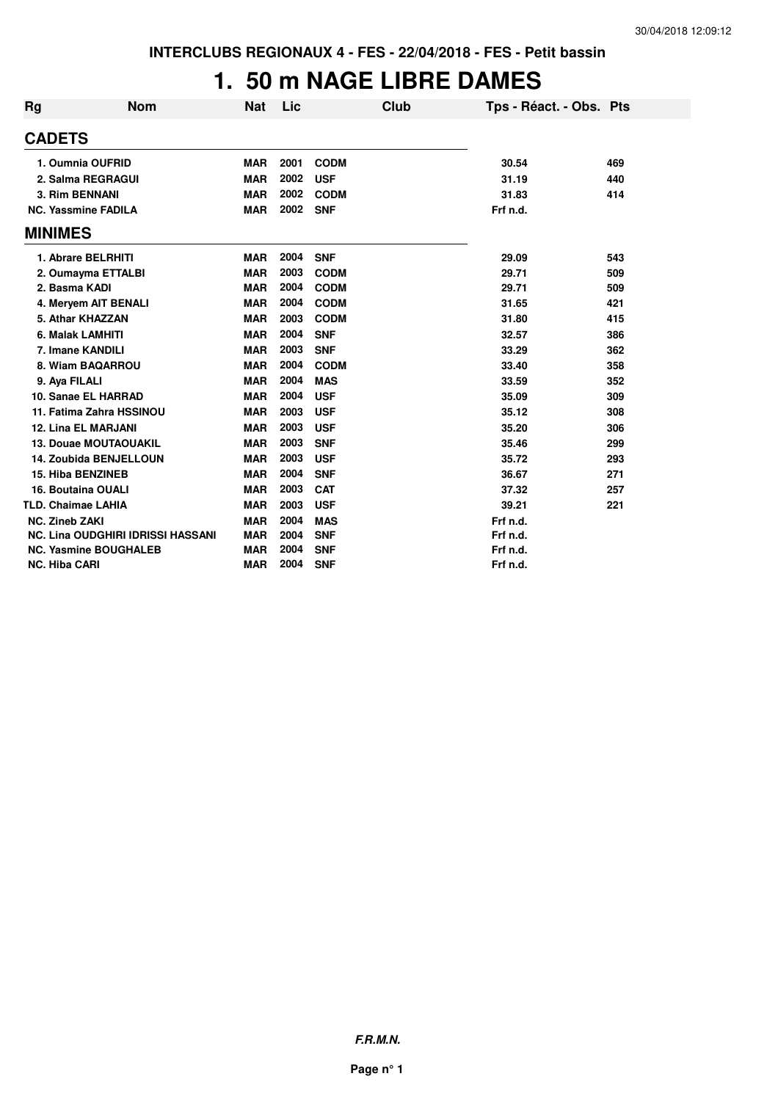## **1. 50 m NAGE LIBRE DAMES**

| <b>Rg</b>      | <b>Nom</b>                               | Nat        | Lic  |             | Club | Tps - Réact. - Obs. Pts |     |
|----------------|------------------------------------------|------------|------|-------------|------|-------------------------|-----|
| <b>CADETS</b>  |                                          |            |      |             |      |                         |     |
|                | 1. Oumnia OUFRID                         | <b>MAR</b> | 2001 | <b>CODM</b> |      | 30.54                   | 469 |
|                | 2. Salma REGRAGUI                        | <b>MAR</b> | 2002 | <b>USF</b>  |      | 31.19                   | 440 |
|                | <b>3. Rim BENNANI</b>                    | <b>MAR</b> | 2002 | <b>CODM</b> |      | 31.83                   | 414 |
|                | <b>NC. Yassmine FADILA</b>               | <b>MAR</b> | 2002 | <b>SNF</b>  |      | Frf n.d.                |     |
| <b>MINIMES</b> |                                          |            |      |             |      |                         |     |
|                | 1. Abrare BELRHITI                       | <b>MAR</b> | 2004 | <b>SNF</b>  |      | 29.09                   | 543 |
|                | 2. Oumayma ETTALBI                       | <b>MAR</b> | 2003 | <b>CODM</b> |      | 29.71                   | 509 |
|                | 2. Basma KADI                            | <b>MAR</b> | 2004 | <b>CODM</b> |      | 29.71                   | 509 |
|                | 4. Meryem AIT BENALI                     | <b>MAR</b> | 2004 | <b>CODM</b> |      | 31.65                   | 421 |
|                | 5. Athar KHAZZAN                         | <b>MAR</b> | 2003 | <b>CODM</b> |      | 31.80                   | 415 |
|                | 6. Malak LAMHITI                         | <b>MAR</b> | 2004 | <b>SNF</b>  |      | 32.57                   | 386 |
|                | 7. Imane KANDILI                         | <b>MAR</b> | 2003 | <b>SNF</b>  |      | 33.29                   | 362 |
|                | 8. Wiam BAQARROU                         | <b>MAR</b> | 2004 | <b>CODM</b> |      | 33.40                   | 358 |
|                | 9. Aya FILALI                            | <b>MAR</b> | 2004 | <b>MAS</b>  |      | 33.59                   | 352 |
|                | 10. Sanae EL HARRAD                      | <b>MAR</b> | 2004 | <b>USF</b>  |      | 35.09                   | 309 |
|                | 11. Fatima Zahra HSSINOU                 | <b>MAR</b> | 2003 | <b>USF</b>  |      | 35.12                   | 308 |
|                | <b>12. Lina EL MARJANI</b>               | <b>MAR</b> | 2003 | <b>USF</b>  |      | 35.20                   | 306 |
|                | <b>13. Douae MOUTAOUAKIL</b>             | <b>MAR</b> | 2003 | <b>SNF</b>  |      | 35.46                   | 299 |
|                | <b>14. Zoubida BENJELLOUN</b>            | <b>MAR</b> | 2003 | <b>USF</b>  |      | 35.72                   | 293 |
|                | <b>15. Hiba BENZINEB</b>                 | <b>MAR</b> | 2004 | <b>SNF</b>  |      | 36.67                   | 271 |
|                | 16. Boutaina OUALI                       | <b>MAR</b> | 2003 | <b>CAT</b>  |      | 37.32                   | 257 |
|                | <b>TLD. Chaimae LAHIA</b>                | <b>MAR</b> | 2003 | <b>USF</b>  |      | 39.21                   | 221 |
|                | <b>NC. Zineb ZAKI</b>                    | <b>MAR</b> | 2004 | <b>MAS</b>  |      | Frf n.d.                |     |
|                | <b>NC. Lina OUDGHIRI IDRISSI HASSANI</b> | <b>MAR</b> | 2004 | <b>SNF</b>  |      | Frf n.d.                |     |
|                | <b>NC. Yasmine BOUGHALEB</b>             | <b>MAR</b> | 2004 | <b>SNF</b>  |      | Frf n.d.                |     |
|                | <b>NC. Hiba CARI</b>                     | <b>MAR</b> | 2004 | <b>SNF</b>  |      | Frf n.d.                |     |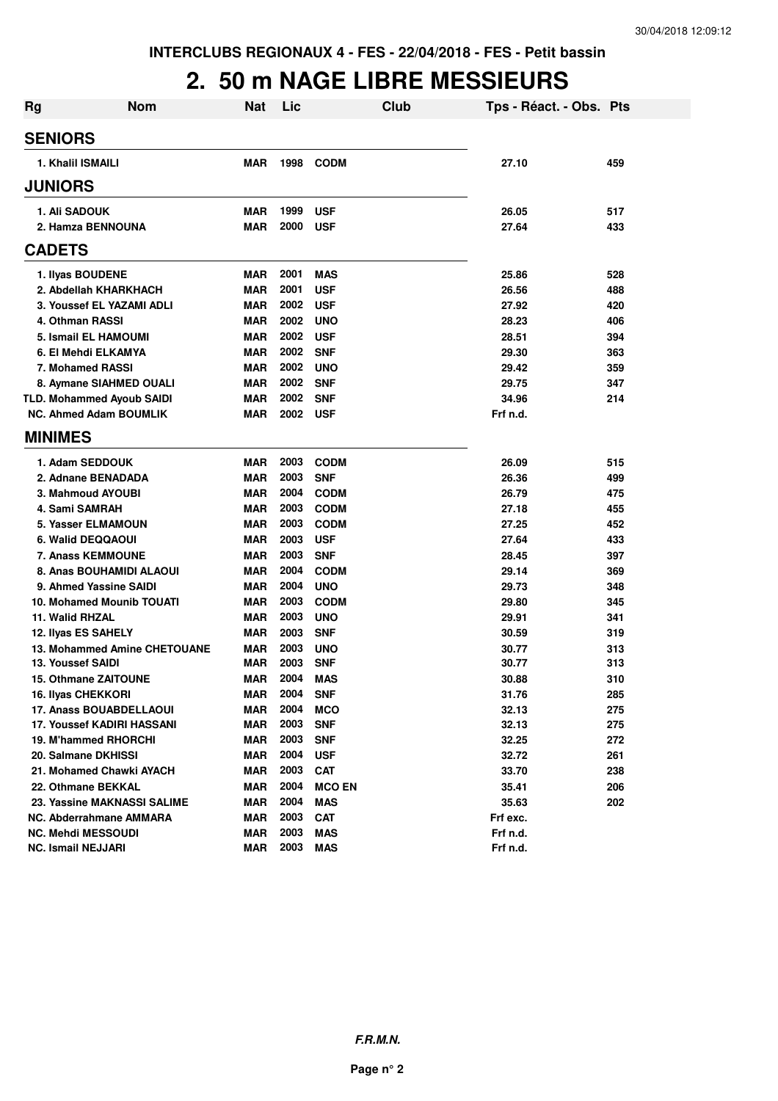#### **2. 50 m NAGE LIBRE MESSIEURS**

| <b>Rg</b> | <b>Nom</b>                       | <b>Nat</b> | Lic  | Club          | Tps - Réact. - Obs. Pts |     |
|-----------|----------------------------------|------------|------|---------------|-------------------------|-----|
|           | <b>SENIORS</b>                   |            |      |               |                         |     |
|           | 1. Khalil ISMAILI                | <b>MAR</b> | 1998 | <b>CODM</b>   | 27.10                   | 459 |
|           | <b>JUNIORS</b>                   |            |      |               |                         |     |
|           | 1. Ali SADOUK                    | <b>MAR</b> | 1999 | <b>USF</b>    | 26.05                   | 517 |
|           | 2. Hamza BENNOUNA                | <b>MAR</b> | 2000 | <b>USF</b>    | 27.64                   | 433 |
|           | <b>CADETS</b>                    |            |      |               |                         |     |
|           | 1. Ilyas BOUDENE                 | <b>MAR</b> | 2001 | <b>MAS</b>    | 25.86                   | 528 |
|           | 2. Abdellah KHARKHACH            | <b>MAR</b> | 2001 | <b>USF</b>    | 26.56                   | 488 |
|           | 3. Youssef EL YAZAMI ADLI        | <b>MAR</b> | 2002 | <b>USF</b>    | 27.92                   | 420 |
|           | 4. Othman RASSI                  | <b>MAR</b> | 2002 | <b>UNO</b>    | 28.23                   | 406 |
|           | 5. Ismail EL HAMOUMI             | <b>MAR</b> | 2002 | <b>USF</b>    | 28.51                   | 394 |
|           | 6. El Mehdi ELKAMYA              | <b>MAR</b> | 2002 | <b>SNF</b>    | 29.30                   | 363 |
|           | 7. Mohamed RASSI                 | <b>MAR</b> | 2002 | <b>UNO</b>    | 29.42                   | 359 |
|           | 8. Aymane SIAHMED OUALI          | <b>MAR</b> | 2002 | <b>SNF</b>    | 29.75                   | 347 |
|           | <b>TLD. Mohammed Ayoub SAIDI</b> | <b>MAR</b> | 2002 | <b>SNF</b>    | 34.96                   | 214 |
|           | <b>NC. Ahmed Adam BOUMLIK</b>    | MAR        | 2002 | <b>USF</b>    | Frf n.d.                |     |
|           | <b>MINIMES</b>                   |            |      |               |                         |     |
|           | 1. Adam SEDDOUK                  | MAR        | 2003 | <b>CODM</b>   | 26.09                   | 515 |
|           | 2. Adnane BENADADA               | <b>MAR</b> | 2003 | <b>SNF</b>    | 26.36                   | 499 |
|           | 3. Mahmoud AYOUBI                | <b>MAR</b> | 2004 | <b>CODM</b>   | 26.79                   | 475 |
|           | 4. Sami SAMRAH                   | <b>MAR</b> | 2003 | <b>CODM</b>   | 27.18                   | 455 |
|           | 5. Yasser ELMAMOUN               | <b>MAR</b> | 2003 | <b>CODM</b>   | 27.25                   | 452 |
|           | 6. Walid DEQQAOUI                | <b>MAR</b> | 2003 | <b>USF</b>    | 27.64                   | 433 |
|           | <b>7. Anass KEMMOUNE</b>         | <b>MAR</b> | 2003 | <b>SNF</b>    | 28.45                   | 397 |
|           | 8. Anas BOUHAMIDI ALAOUI         | <b>MAR</b> | 2004 | <b>CODM</b>   | 29.14                   | 369 |
|           | 9. Ahmed Yassine SAIDI           | <b>MAR</b> | 2004 | <b>UNO</b>    | 29.73                   | 348 |
|           | <b>10. Mohamed Mounib TOUATI</b> | MAR        | 2003 | <b>CODM</b>   | 29.80                   | 345 |
|           | 11. Walid RHZAL                  | MAR        | 2003 | <b>UNO</b>    | 29.91                   | 341 |
|           | 12. Ilyas ES SAHELY              | MAR        | 2003 | <b>SNF</b>    | 30.59                   | 319 |
|           | 13. Mohammed Amine CHETOUANE     | MAR        | 2003 | <b>UNO</b>    | 30.77                   | 313 |
|           | <b>13. Youssef SAIDI</b>         | MAR        | 2003 | <b>SNF</b>    | 30.77                   | 313 |
|           | <b>15. Othmane ZAITOUNE</b>      | <b>MAR</b> | 2004 | <b>MAS</b>    | 30.88                   | 310 |
|           | <b>16. Ilyas CHEKKORI</b>        | MAR        | 2004 | <b>SNF</b>    | 31.76                   | 285 |
|           | 17. Anass BOUABDELLAOUI          | MAR        | 2004 | <b>MCO</b>    | 32.13                   | 275 |
|           | 17. Youssef KADIRI HASSANI       | <b>MAR</b> | 2003 | <b>SNF</b>    | 32.13                   | 275 |
|           | 19. M'hammed RHORCHI             | <b>MAR</b> | 2003 | <b>SNF</b>    | 32.25                   | 272 |
|           | 20. Salmane DKHISSI              | <b>MAR</b> | 2004 | <b>USF</b>    | 32.72                   | 261 |
|           | 21. Mohamed Chawki AYACH         | <b>MAR</b> | 2003 | <b>CAT</b>    | 33.70                   | 238 |
|           | 22. Othmane BEKKAL               | <b>MAR</b> | 2004 | <b>MCO EN</b> | 35.41                   | 206 |
|           | 23. Yassine MAKNASSI SALIME      | <b>MAR</b> | 2004 | <b>MAS</b>    | 35.63                   | 202 |
|           | NC. Abderrahmane AMMARA          | <b>MAR</b> | 2003 | <b>CAT</b>    | Frf exc.                |     |
|           | <b>NC. Mehdi MESSOUDI</b>        | <b>MAR</b> | 2003 | <b>MAS</b>    | Frf n.d.                |     |
|           | <b>NC. Ismail NEJJARI</b>        | <b>MAR</b> | 2003 | <b>MAS</b>    | Frf n.d.                |     |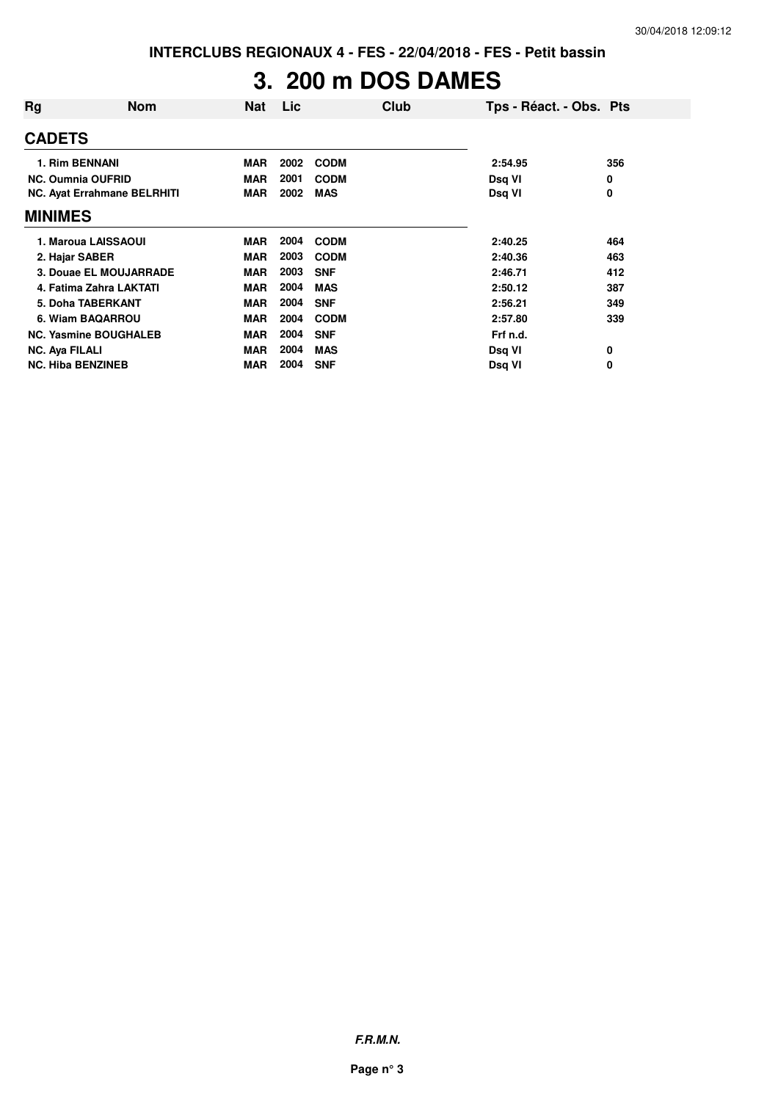## **3. 200 m DOS DAMES**

| Rg                       | <b>Nom</b>                         | <b>Nat</b> | <b>Lic</b> | Club        | Tps - Réact. - Obs. Pts |     |
|--------------------------|------------------------------------|------------|------------|-------------|-------------------------|-----|
| <b>CADETS</b>            |                                    |            |            |             |                         |     |
| 1. Rim BENNANI           |                                    | <b>MAR</b> | 2002       | <b>CODM</b> | 2:54.95                 | 356 |
| <b>NC. Oumnia OUFRID</b> |                                    | <b>MAR</b> | 2001       | <b>CODM</b> | Dsq VI                  | 0   |
|                          | <b>NC. Ayat Errahmane BELRHITI</b> | <b>MAR</b> | 2002       | <b>MAS</b>  | Dsq VI                  | 0   |
| <b>MINIMES</b>           |                                    |            |            |             |                         |     |
|                          | 1. Maroua LAISSAOUI                | <b>MAR</b> | 2004       | <b>CODM</b> | 2:40.25                 | 464 |
| 2. Hajar SABER           |                                    | <b>MAR</b> | 2003       | <b>CODM</b> | 2:40.36                 | 463 |
|                          | 3. Douae EL MOUJARRADE             | <b>MAR</b> | 2003       | <b>SNF</b>  | 2:46.71                 | 412 |
|                          | 4. Fatima Zahra LAKTATI            | <b>MAR</b> | 2004       | <b>MAS</b>  | 2:50.12                 | 387 |
|                          | 5. Doha TABERKANT                  | <b>MAR</b> | 2004       | <b>SNF</b>  | 2:56.21                 | 349 |
|                          | 6. Wiam BAQARROU                   | <b>MAR</b> | 2004       | <b>CODM</b> | 2:57.80                 | 339 |
|                          | <b>NC. Yasmine BOUGHALEB</b>       | <b>MAR</b> | 2004       | <b>SNF</b>  | Frf n.d.                |     |
| <b>NC. Aya FILALI</b>    |                                    | <b>MAR</b> | 2004       | <b>MAS</b>  | Dsq VI                  | 0   |
| <b>NC. Hiba BENZINEB</b> |                                    | <b>MAR</b> | 2004       | <b>SNF</b>  | Dsq VI                  | 0   |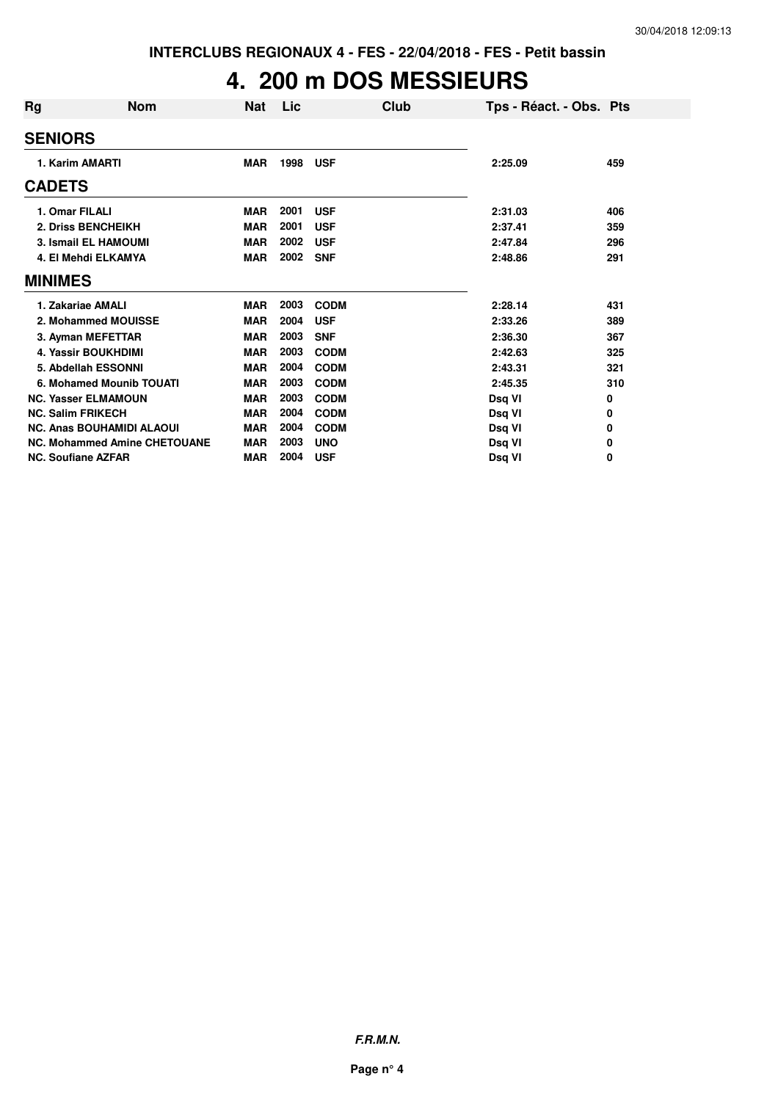## **4. 200 m DOS MESSIEURS**

| Rg                        | Nom                                 | Nat        | Lic  | Club        | Tps - Réact. - Obs. Pts |     |
|---------------------------|-------------------------------------|------------|------|-------------|-------------------------|-----|
| <b>SENIORS</b>            |                                     |            |      |             |                         |     |
| 1. Karim AMARTI           |                                     | <b>MAR</b> | 1998 | <b>USF</b>  | 2:25.09                 | 459 |
| <b>CADETS</b>             |                                     |            |      |             |                         |     |
| 1. Omar FILALI            |                                     | <b>MAR</b> | 2001 | <b>USF</b>  | 2:31.03                 | 406 |
|                           | 2. Driss BENCHEIKH                  | <b>MAR</b> | 2001 | <b>USF</b>  | 2:37.41                 | 359 |
|                           | <b>3. Ismail EL HAMOUMI</b>         | <b>MAR</b> | 2002 | <b>USF</b>  | 2:47.84                 | 296 |
|                           | 4. El Mehdi ELKAMYA                 | <b>MAR</b> | 2002 | <b>SNF</b>  | 2:48.86                 | 291 |
| <b>MINIMES</b>            |                                     |            |      |             |                         |     |
|                           | 1. Zakariae AMALI                   | <b>MAR</b> | 2003 | <b>CODM</b> | 2:28.14                 | 431 |
|                           | 2. Mohammed MOUISSE                 | <b>MAR</b> | 2004 | <b>USF</b>  | 2:33.26                 | 389 |
|                           | 3. Ayman MEFETTAR                   | <b>MAR</b> | 2003 | <b>SNF</b>  | 2:36.30                 | 367 |
|                           | <b>4. Yassir BOUKHDIMI</b>          | <b>MAR</b> | 2003 | <b>CODM</b> | 2:42.63                 | 325 |
|                           | 5. Abdellah ESSONNI                 | <b>MAR</b> | 2004 | <b>CODM</b> | 2:43.31                 | 321 |
|                           | 6. Mohamed Mounib TOUATI            | <b>MAR</b> | 2003 | <b>CODM</b> | 2:45.35                 | 310 |
|                           | <b>NC. Yasser ELMAMOUN</b>          | <b>MAR</b> | 2003 | <b>CODM</b> | Dsq VI                  | 0   |
| <b>NC. Salim FRIKECH</b>  |                                     | <b>MAR</b> | 2004 | <b>CODM</b> | Dsq VI                  | 0   |
|                           | <b>NC. Anas BOUHAMIDI ALAOUI</b>    | <b>MAR</b> | 2004 | <b>CODM</b> | Dsq VI                  | 0   |
|                           | <b>NC. Mohammed Amine CHETOUANE</b> | <b>MAR</b> | 2003 | <b>UNO</b>  | Dsg VI                  | 0   |
| <b>NC. Soufiane AZFAR</b> |                                     | <b>MAR</b> | 2004 | <b>USF</b>  | Dsq VI                  | 0   |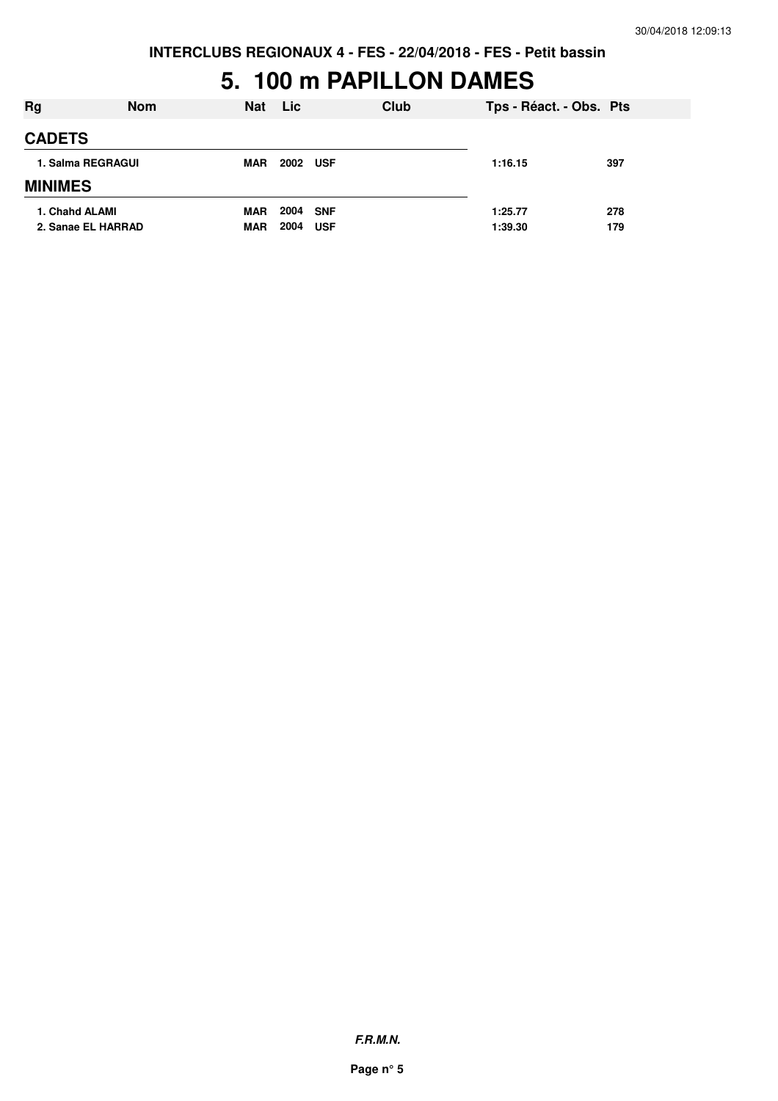#### **5. 100 m PAPILLON DAMES**

| Rg                                   | <b>Nom</b> | <b>Nat</b>               | <b>Lic</b>   |                          | Club | Tps - Réact. - Obs. Pts |            |
|--------------------------------------|------------|--------------------------|--------------|--------------------------|------|-------------------------|------------|
| <b>CADETS</b>                        |            |                          |              |                          |      |                         |            |
| 1. Salma REGRAGUI                    |            | <b>MAR</b>               | 2002         | <b>USF</b>               |      | 1:16.15                 | 397        |
| <b>MINIMES</b>                       |            |                          |              |                          |      |                         |            |
| 1. Chahd ALAMI<br>2. Sanae EL HARRAD |            | <b>MAR</b><br><b>MAR</b> | 2004<br>2004 | <b>SNF</b><br><b>USF</b> |      | 1:25.77<br>1:39.30      | 278<br>179 |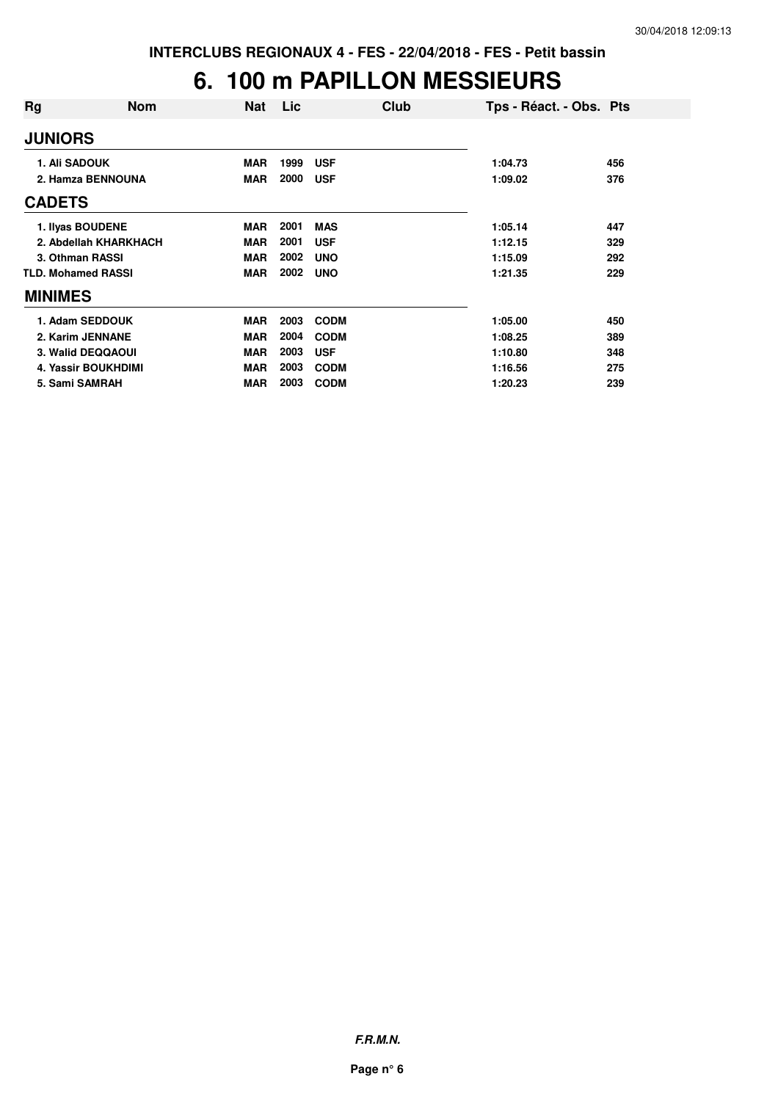## **6. 100 m PAPILLON MESSIEURS**

| Rg                   | <b>Nom</b>                | <b>Nat</b> | Lic  | Club        | Tps - Réact. - Obs. Pts |     |
|----------------------|---------------------------|------------|------|-------------|-------------------------|-----|
| <b>JUNIORS</b>       |                           |            |      |             |                         |     |
| <b>1. Ali SADOUK</b> |                           | <b>MAR</b> | 1999 | <b>USF</b>  | 1:04.73                 | 456 |
|                      | 2. Hamza BENNOUNA         | <b>MAR</b> | 2000 | <b>USF</b>  | 1:09.02                 | 376 |
| <b>CADETS</b>        |                           |            |      |             |                         |     |
|                      | 1. Ilyas BOUDENE          | <b>MAR</b> | 2001 | <b>MAS</b>  | 1:05.14                 | 447 |
|                      | 2. Abdellah KHARKHACH     | <b>MAR</b> | 2001 | <b>USF</b>  | 1:12.15                 | 329 |
|                      | 3. Othman RASSI           | <b>MAR</b> | 2002 | <b>UNO</b>  | 1:15.09                 | 292 |
|                      | <b>TLD. Mohamed RASSI</b> | <b>MAR</b> | 2002 | <b>UNO</b>  | 1:21.35                 | 229 |
| <b>MINIMES</b>       |                           |            |      |             |                         |     |
|                      | 1. Adam SEDDOUK           | <b>MAR</b> | 2003 | <b>CODM</b> | 1:05.00                 | 450 |
|                      | 2. Karim JENNANE          | <b>MAR</b> | 2004 | <b>CODM</b> | 1:08.25                 | 389 |
|                      | 3. Walid DEQQAOUI         | <b>MAR</b> | 2003 | <b>USF</b>  | 1:10.80                 | 348 |
|                      | 4. Yassir BOUKHDIMI       | <b>MAR</b> | 2003 | <b>CODM</b> | 1:16.56                 | 275 |
|                      | 5. Sami SAMRAH            | <b>MAR</b> | 2003 | <b>CODM</b> | 1:20.23                 | 239 |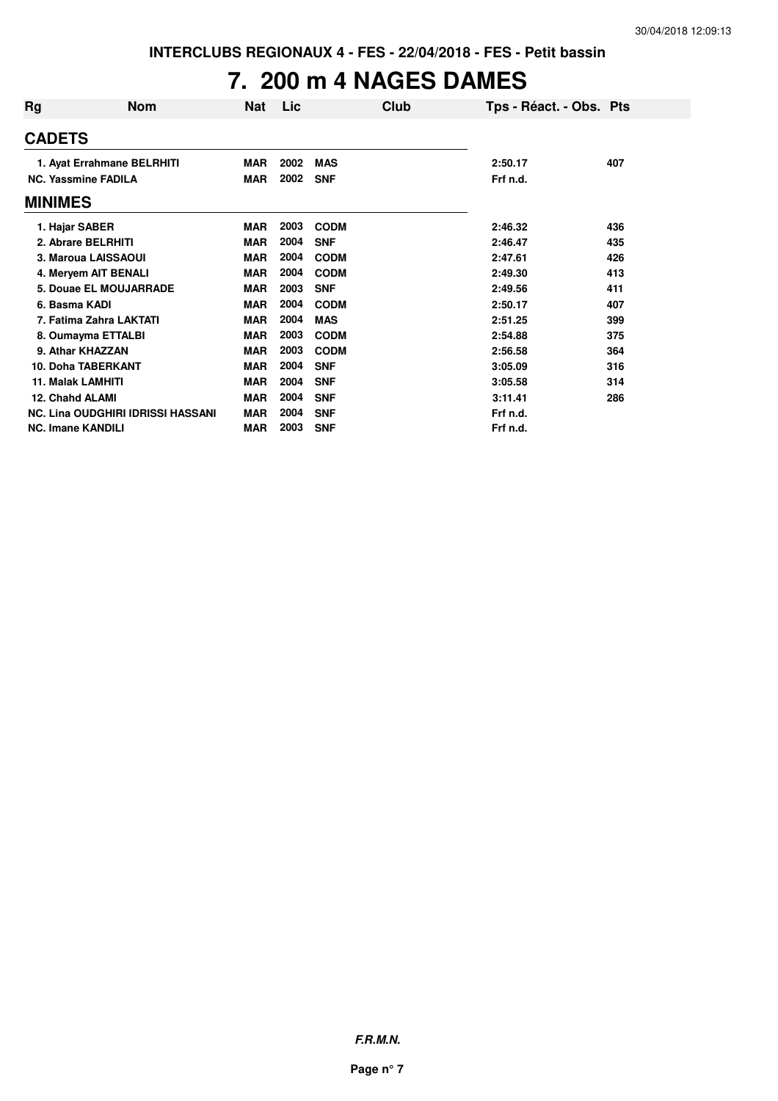## **7. 200 m 4 NAGES DAMES**

| Rg                         | <b>Nom</b>                               | <b>Nat</b> | Lic  |             | Club | Tps - Réact. - Obs. Pts |     |
|----------------------------|------------------------------------------|------------|------|-------------|------|-------------------------|-----|
| <b>CADETS</b>              |                                          |            |      |             |      |                         |     |
| 1. Ayat Errahmane BELRHITI |                                          | MAR        | 2002 | <b>MAS</b>  |      | 2:50.17                 | 407 |
| <b>NC. Yassmine FADILA</b> |                                          | <b>MAR</b> | 2002 | <b>SNF</b>  |      | Frf n.d.                |     |
| <b>MINIMES</b>             |                                          |            |      |             |      |                         |     |
| 1. Hajar SABER             |                                          | <b>MAR</b> | 2003 | <b>CODM</b> |      | 2:46.32                 | 436 |
| 2. Abrare BELRHITI         |                                          | <b>MAR</b> | 2004 | <b>SNF</b>  |      | 2:46.47                 | 435 |
| 3. Maroua LAISSAOUI        |                                          | <b>MAR</b> | 2004 | <b>CODM</b> |      | 2:47.61                 | 426 |
| 4. Meryem AIT BENALI       |                                          | <b>MAR</b> | 2004 | <b>CODM</b> |      | 2:49.30                 | 413 |
| 5. Douae EL MOUJARRADE     |                                          | <b>MAR</b> | 2003 | <b>SNF</b>  |      | 2:49.56                 | 411 |
| 6. Basma KADI              |                                          | <b>MAR</b> | 2004 | <b>CODM</b> |      | 2:50.17                 | 407 |
| 7. Fatima Zahra LAKTATI    |                                          | <b>MAR</b> | 2004 | <b>MAS</b>  |      | 2:51.25                 | 399 |
| 8. Oumayma ETTALBI         |                                          | <b>MAR</b> | 2003 | <b>CODM</b> |      | 2:54.88                 | 375 |
| 9. Athar KHAZZAN           |                                          | <b>MAR</b> | 2003 | <b>CODM</b> |      | 2:56.58                 | 364 |
| <b>10. Doha TABERKANT</b>  |                                          | <b>MAR</b> | 2004 | <b>SNF</b>  |      | 3:05.09                 | 316 |
| <b>11. Malak LAMHITI</b>   |                                          | <b>MAR</b> | 2004 | <b>SNF</b>  |      | 3:05.58                 | 314 |
| 12. Chahd ALAMI            |                                          | <b>MAR</b> | 2004 | <b>SNF</b>  |      | 3:11.41                 | 286 |
|                            | <b>NC. Lina OUDGHIRI IDRISSI HASSANI</b> | <b>MAR</b> | 2004 | <b>SNF</b>  |      | Frf n.d.                |     |
| <b>NC. Imane KANDILI</b>   |                                          | <b>MAR</b> | 2003 | <b>SNF</b>  |      | Frf n.d.                |     |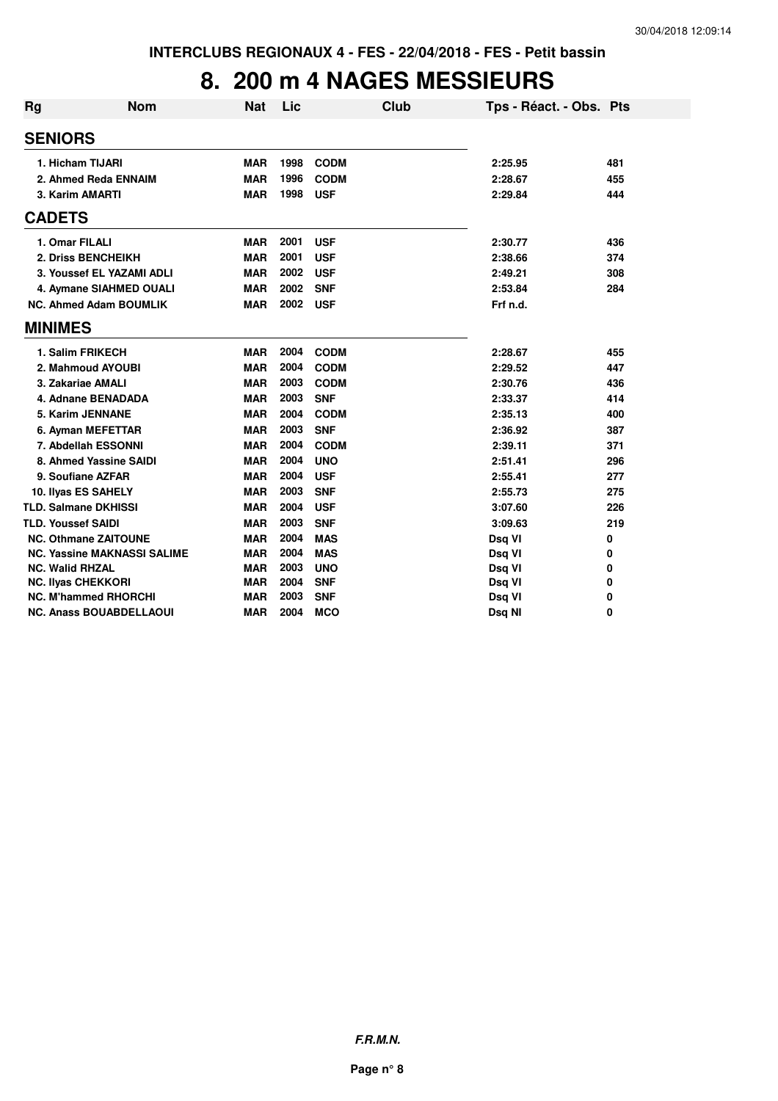### **8. 200 m 4 NAGES MESSIEURS**

| Rg | <b>Nom</b>                         | <b>Nat</b> | Lic  |             | Club | Tps - Réact. - Obs. Pts |     |
|----|------------------------------------|------------|------|-------------|------|-------------------------|-----|
|    | <b>SENIORS</b>                     |            |      |             |      |                         |     |
|    | 1. Hicham TIJARI                   | <b>MAR</b> | 1998 | <b>CODM</b> |      | 2:25.95                 | 481 |
|    | 2. Ahmed Reda ENNAIM               | <b>MAR</b> | 1996 | <b>CODM</b> |      | 2:28.67                 | 455 |
|    | 3. Karim AMARTI                    | <b>MAR</b> | 1998 | <b>USF</b>  |      | 2:29.84                 | 444 |
|    | <b>CADETS</b>                      |            |      |             |      |                         |     |
|    | 1. Omar FILALI                     | <b>MAR</b> | 2001 | <b>USF</b>  |      | 2:30.77                 | 436 |
|    | 2. Driss BENCHEIKH                 | <b>MAR</b> | 2001 | <b>USF</b>  |      | 2:38.66                 | 374 |
|    | 3. Youssef EL YAZAMI ADLI          | <b>MAR</b> | 2002 | <b>USF</b>  |      | 2:49.21                 | 308 |
|    | 4. Aymane SIAHMED OUALI            | <b>MAR</b> | 2002 | <b>SNF</b>  |      | 2:53.84                 | 284 |
|    | <b>NC. Ahmed Adam BOUMLIK</b>      | <b>MAR</b> | 2002 | <b>USF</b>  |      | Frf n.d.                |     |
|    | <b>MINIMES</b>                     |            |      |             |      |                         |     |
|    | 1. Salim FRIKECH                   | <b>MAR</b> | 2004 | <b>CODM</b> |      | 2:28.67                 | 455 |
|    | 2. Mahmoud AYOUBI                  | <b>MAR</b> | 2004 | <b>CODM</b> |      | 2:29.52                 | 447 |
|    | 3. Zakariae AMALI                  | <b>MAR</b> | 2003 | <b>CODM</b> |      | 2:30.76                 | 436 |
|    | 4. Adnane BENADADA                 | <b>MAR</b> | 2003 | <b>SNF</b>  |      | 2:33.37                 | 414 |
|    | 5. Karim JENNANE                   | <b>MAR</b> | 2004 | <b>CODM</b> |      | 2:35.13                 | 400 |
|    | 6. Ayman MEFETTAR                  | <b>MAR</b> | 2003 | <b>SNF</b>  |      | 2:36.92                 | 387 |
|    | 7. Abdellah ESSONNI                | <b>MAR</b> | 2004 | <b>CODM</b> |      | 2:39.11                 | 371 |
|    | 8. Ahmed Yassine SAIDI             | <b>MAR</b> | 2004 | <b>UNO</b>  |      | 2:51.41                 | 296 |
|    | 9. Soufiane AZFAR                  | <b>MAR</b> | 2004 | <b>USF</b>  |      | 2:55.41                 | 277 |
|    | 10. Ilyas ES SAHELY                | <b>MAR</b> | 2003 | <b>SNF</b>  |      | 2:55.73                 | 275 |
|    | <b>TLD. Salmane DKHISSI</b>        | <b>MAR</b> | 2004 | <b>USF</b>  |      | 3:07.60                 | 226 |
|    | <b>TLD. Youssef SAIDI</b>          | <b>MAR</b> | 2003 | <b>SNF</b>  |      | 3:09.63                 | 219 |
|    | <b>NC. Othmane ZAITOUNE</b>        | <b>MAR</b> | 2004 | <b>MAS</b>  |      | Dsq VI                  | 0   |
|    | <b>NC. Yassine MAKNASSI SALIME</b> | <b>MAR</b> | 2004 | <b>MAS</b>  |      | Dsq VI                  | 0   |
|    | <b>NC. Walid RHZAL</b>             | <b>MAR</b> | 2003 | <b>UNO</b>  |      | Dsq VI                  | 0   |
|    | NC. Ilyas CHEKKORI                 | <b>MAR</b> | 2004 | <b>SNF</b>  |      | Dsq VI                  | 0   |
|    | <b>NC. M'hammed RHORCHI</b>        | <b>MAR</b> | 2003 | <b>SNF</b>  |      | Dsq VI                  | 0   |
|    | <b>NC. Anass BOUABDELLAOUI</b>     | <b>MAR</b> | 2004 | <b>MCO</b>  |      | Dsq NI                  | 0   |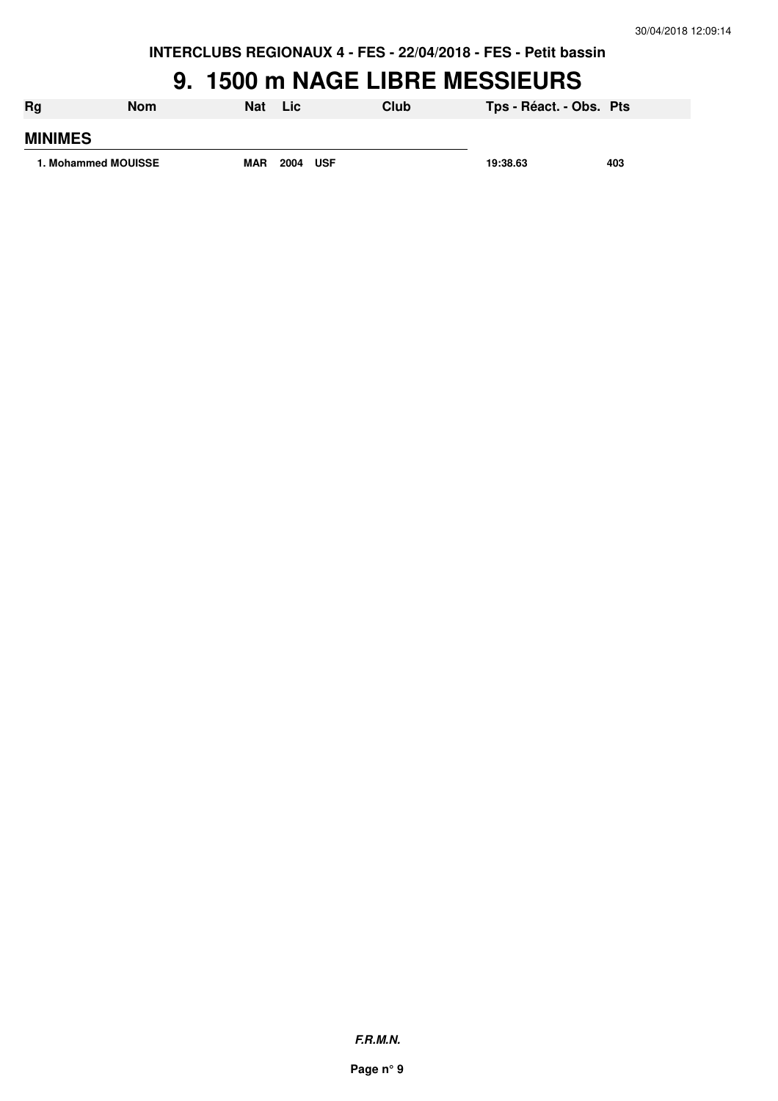#### **9. 1500 m NAGE LIBRE MESSIEURS**

| <b>Rg</b>           | Nom | <b>Nat</b> | <b>Lic</b>  | Club | Tps - Réact. - Obs. Pts |     |
|---------------------|-----|------------|-------------|------|-------------------------|-----|
| <b>MINIMES</b>      |     |            |             |      |                         |     |
| 1. Mohammed MOUISSE |     | <b>MAR</b> | 2004<br>USF |      | 19:38.63                | 403 |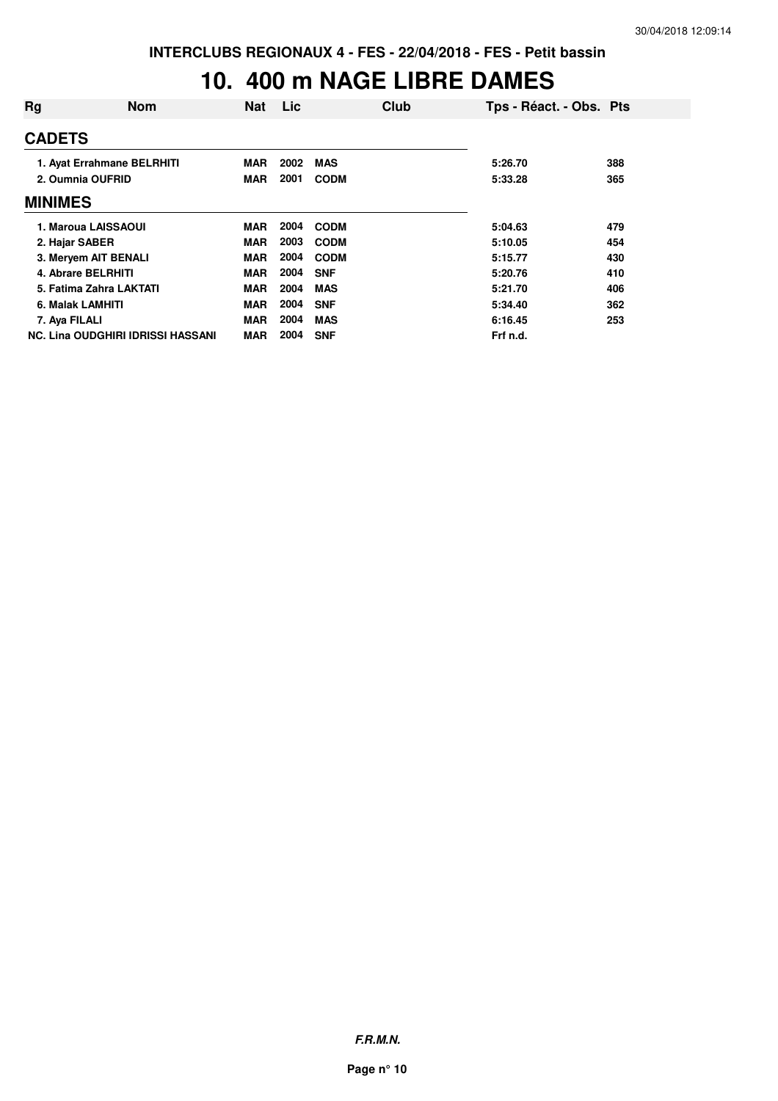### **10. 400 m NAGE LIBRE DAMES**

| Rg               | <b>Nom</b>                               | <b>Nat</b> | Lic  | Club        | Tps - Réact. - Obs. Pts |     |
|------------------|------------------------------------------|------------|------|-------------|-------------------------|-----|
| <b>CADETS</b>    |                                          |            |      |             |                         |     |
|                  | 1. Ayat Errahmane BELRHITI               | <b>MAR</b> | 2002 | <b>MAS</b>  | 5:26.70                 | 388 |
|                  | 2. Oumnia OUFRID                         | <b>MAR</b> | 2001 | <b>CODM</b> | 5:33.28                 | 365 |
| <b>MINIMES</b>   |                                          |            |      |             |                         |     |
|                  | 1. Maroua LAISSAOUI                      | MAR        | 2004 | <b>CODM</b> | 5:04.63                 | 479 |
| 2. Hajar SABER   |                                          | <b>MAR</b> | 2003 | <b>CODM</b> | 5:10.05                 | 454 |
|                  | 3. Meryem AIT BENALI                     | <b>MAR</b> | 2004 | <b>CODM</b> | 5:15.77                 | 430 |
|                  | 4. Abrare BELRHITI                       | <b>MAR</b> | 2004 | <b>SNF</b>  | 5:20.76                 | 410 |
|                  | 5. Fatima Zahra LAKTATI                  | <b>MAR</b> | 2004 | <b>MAS</b>  | 5:21.70                 | 406 |
| 6. Malak LAMHITI |                                          | MAR        | 2004 | <b>SNF</b>  | 5:34.40                 | 362 |
| 7. Aya FILALI    |                                          | <b>MAR</b> | 2004 | <b>MAS</b>  | 6:16.45                 | 253 |
|                  | <b>NC. Lina OUDGHIRI IDRISSI HASSANI</b> | <b>MAR</b> | 2004 | <b>SNF</b>  | Frf n.d.                |     |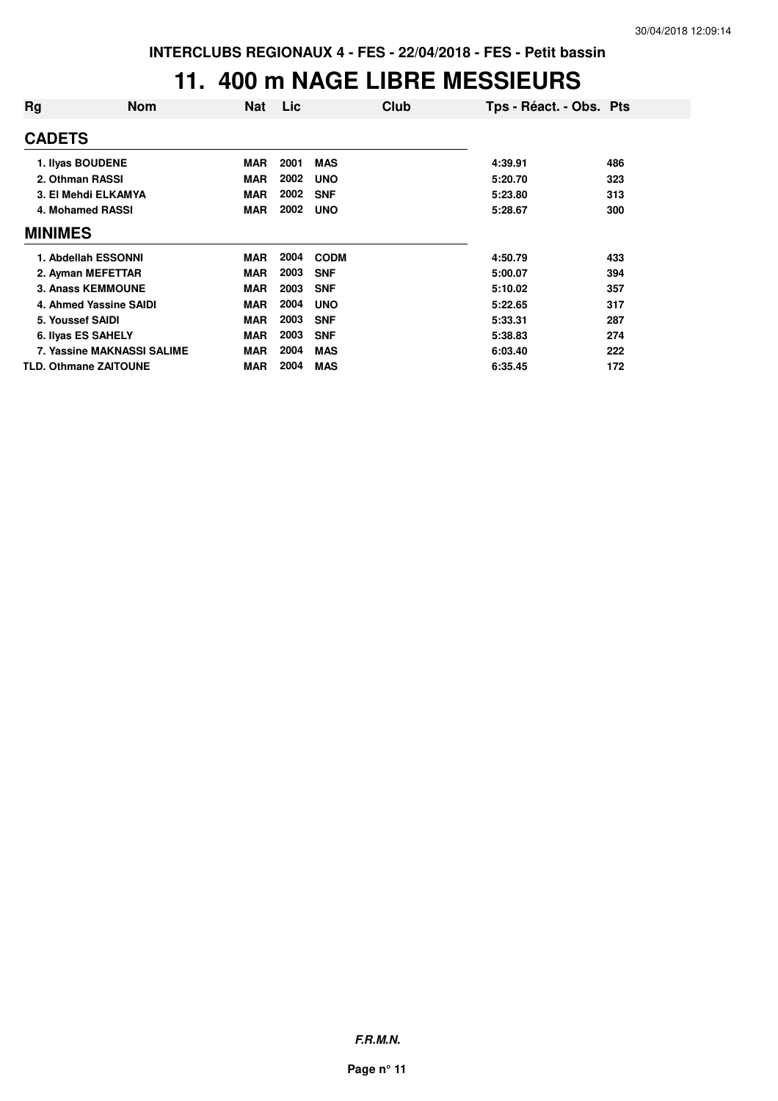#### **11. 400 m NAGE LIBRE MESSIEURS**

| Rg             | Nom                               | Nat        | <b>Lic</b> | Club        | Tps - Réact. - Obs. Pts |     |
|----------------|-----------------------------------|------------|------------|-------------|-------------------------|-----|
| <b>CADETS</b>  |                                   |            |            |             |                         |     |
|                | 1. Ilyas BOUDENE                  | <b>MAR</b> | 2001       | <b>MAS</b>  | 4:39.91                 | 486 |
|                | 2. Othman RASSI                   | <b>MAR</b> | 2002       | <b>UNO</b>  | 5:20.70                 | 323 |
|                | 3. El Mehdi ELKAMYA               | <b>MAR</b> | 2002       | <b>SNF</b>  | 5:23.80                 | 313 |
|                | 4. Mohamed RASSI                  | <b>MAR</b> | 2002       | <b>UNO</b>  | 5:28.67                 | 300 |
| <b>MINIMES</b> |                                   |            |            |             |                         |     |
|                | 1. Abdellah ESSONNI               | <b>MAR</b> | 2004       | <b>CODM</b> | 4:50.79                 | 433 |
|                | 2. Ayman MEFETTAR                 | <b>MAR</b> | 2003       | <b>SNF</b>  | 5:00.07                 | 394 |
|                | 3. Anass KEMMOUNE                 | <b>MAR</b> | 2003       | <b>SNF</b>  | 5:10.02                 | 357 |
|                | 4. Ahmed Yassine SAIDI            | <b>MAR</b> | 2004       | <b>UNO</b>  | 5:22.65                 | 317 |
|                | 5. Youssef SAIDI                  | <b>MAR</b> | 2003       | <b>SNF</b>  | 5:33.31                 | 287 |
|                | 6. Ilyas ES SAHELY                | <b>MAR</b> | 2003       | <b>SNF</b>  | 5:38.83                 | 274 |
|                | <b>7. Yassine MAKNASSI SALIME</b> | <b>MAR</b> | 2004       | <b>MAS</b>  | 6:03.40                 | 222 |
|                | <b>TLD. Othmane ZAITOUNE</b>      | <b>MAR</b> | 2004       | <b>MAS</b>  | 6:35.45                 | 172 |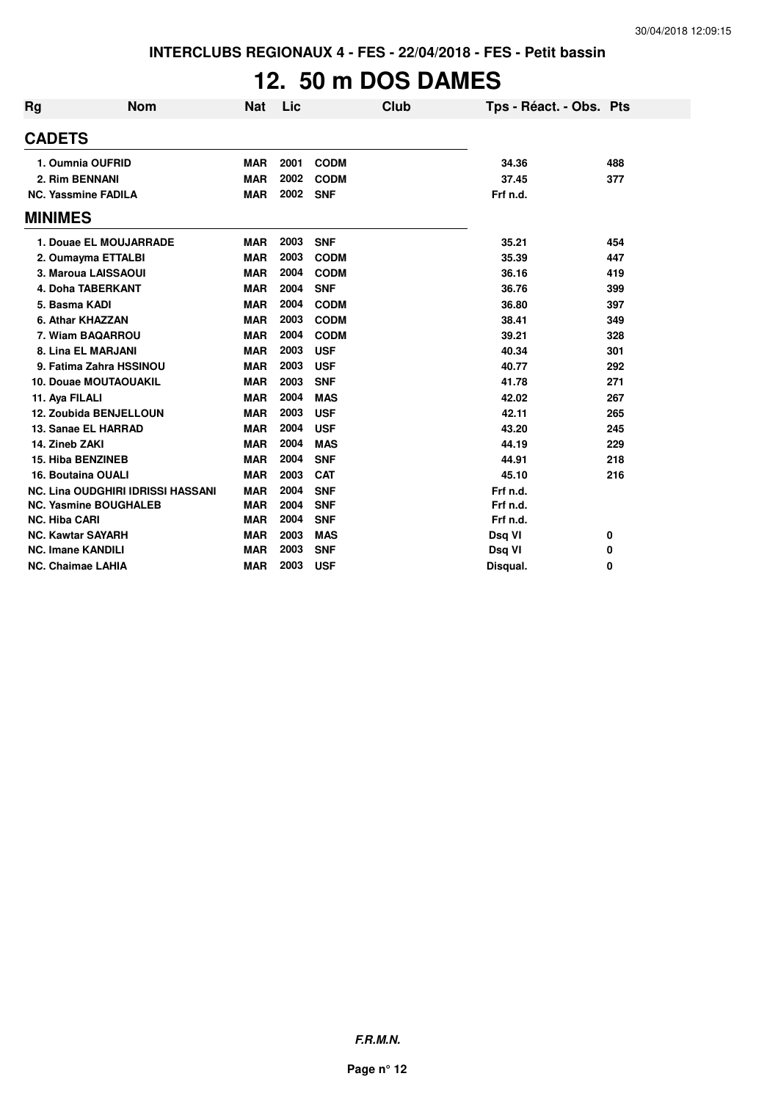## **12. 50 m DOS DAMES**

| Rg                   | <b>Nom</b>                               | <b>Nat</b> | Lic  |             | Club | Tps - Réact. - Obs. Pts |     |
|----------------------|------------------------------------------|------------|------|-------------|------|-------------------------|-----|
| <b>CADETS</b>        |                                          |            |      |             |      |                         |     |
|                      | 1. Oumnia OUFRID                         | <b>MAR</b> | 2001 | <b>CODM</b> |      | 34.36                   | 488 |
|                      | 2. Rim BENNANI                           | <b>MAR</b> | 2002 | <b>CODM</b> |      | 37.45                   | 377 |
|                      | <b>NC. Yassmine FADILA</b>               | <b>MAR</b> | 2002 | <b>SNF</b>  |      | Frf n.d.                |     |
| <b>MINIMES</b>       |                                          |            |      |             |      |                         |     |
|                      | 1. Douae EL MOUJARRADE                   | <b>MAR</b> | 2003 | <b>SNF</b>  |      | 35.21                   | 454 |
|                      | 2. Oumayma ETTALBI                       | <b>MAR</b> | 2003 | <b>CODM</b> |      | 35.39                   | 447 |
|                      | 3. Maroua LAISSAOUI                      | <b>MAR</b> | 2004 | <b>CODM</b> |      | 36.16                   | 419 |
|                      | <b>4. Doha TABERKANT</b>                 | <b>MAR</b> | 2004 | <b>SNF</b>  |      | 36.76                   | 399 |
|                      | 5. Basma KADI                            | <b>MAR</b> | 2004 | <b>CODM</b> |      | 36.80                   | 397 |
|                      | 6. Athar KHAZZAN                         | <b>MAR</b> | 2003 | <b>CODM</b> |      | 38.41                   | 349 |
|                      | 7. Wiam BAQARROU                         | <b>MAR</b> | 2004 | <b>CODM</b> |      | 39.21                   | 328 |
|                      | 8. Lina EL MARJANI                       | <b>MAR</b> | 2003 | <b>USF</b>  |      | 40.34                   | 301 |
|                      | 9. Fatima Zahra HSSINOU                  | <b>MAR</b> | 2003 | <b>USF</b>  |      | 40.77                   | 292 |
|                      | 10. Douae MOUTAOUAKIL                    | <b>MAR</b> | 2003 | <b>SNF</b>  |      | 41.78                   | 271 |
| 11. Aya FILALI       |                                          | <b>MAR</b> | 2004 | <b>MAS</b>  |      | 42.02                   | 267 |
|                      | <b>12. Zoubida BENJELLOUN</b>            | <b>MAR</b> | 2003 | <b>USF</b>  |      | 42.11                   | 265 |
|                      | 13. Sanae EL HARRAD                      | <b>MAR</b> | 2004 | <b>USF</b>  |      | 43.20                   | 245 |
|                      | 14. Zineb ZAKI                           | <b>MAR</b> | 2004 | <b>MAS</b>  |      | 44.19                   | 229 |
|                      | <b>15. Hiba BENZINEB</b>                 | <b>MAR</b> | 2004 | <b>SNF</b>  |      | 44.91                   | 218 |
|                      | 16. Boutaina OUALI                       | <b>MAR</b> | 2003 | <b>CAT</b>  |      | 45.10                   | 216 |
|                      | <b>NC. Lina OUDGHIRI IDRISSI HASSANI</b> | <b>MAR</b> | 2004 | <b>SNF</b>  |      | Frf n.d.                |     |
|                      | <b>NC. Yasmine BOUGHALEB</b>             | <b>MAR</b> | 2004 | <b>SNF</b>  |      | Frf n.d.                |     |
| <b>NC. Hiba CARI</b> |                                          | <b>MAR</b> | 2004 | <b>SNF</b>  |      | Frf n.d.                |     |
|                      | <b>NC. Kawtar SAYARH</b>                 | <b>MAR</b> | 2003 | <b>MAS</b>  |      | Dsq VI                  | 0   |
|                      | <b>NC. Imane KANDILI</b>                 | <b>MAR</b> | 2003 | <b>SNF</b>  |      | Dsq VI                  | 0   |
|                      | <b>NC. Chaimae LAHIA</b>                 | <b>MAR</b> | 2003 | <b>USF</b>  |      | Disqual.                | 0   |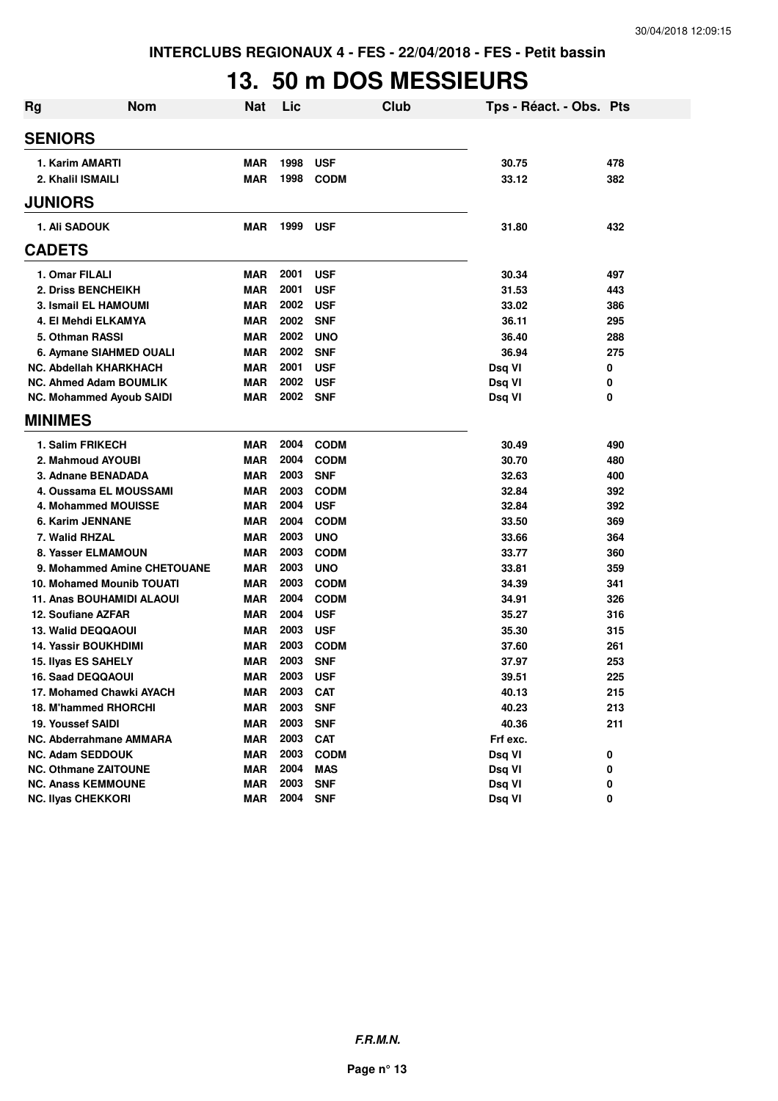## **13. 50 m DOS MESSIEURS**

| <b>Rg</b> | <b>Nom</b>                       | <b>Nat</b> | Lic  | Club        | Tps - Réact. - Obs. Pts |     |
|-----------|----------------------------------|------------|------|-------------|-------------------------|-----|
|           | <b>SENIORS</b>                   |            |      |             |                         |     |
|           | 1. Karim AMARTI                  | <b>MAR</b> | 1998 | <b>USF</b>  | 30.75                   | 478 |
|           | 2. Khalil ISMAILI                | <b>MAR</b> | 1998 | <b>CODM</b> | 33.12                   | 382 |
|           | <b>JUNIORS</b>                   |            |      |             |                         |     |
|           | 1. Ali SADOUK                    | <b>MAR</b> | 1999 | <b>USF</b>  | 31.80                   | 432 |
|           | <b>CADETS</b>                    |            |      |             |                         |     |
|           | 1. Omar FILALI                   | <b>MAR</b> | 2001 | <b>USF</b>  | 30.34                   | 497 |
|           | 2. Driss BENCHEIKH               | <b>MAR</b> | 2001 | <b>USF</b>  | 31.53                   | 443 |
|           | 3. Ismail EL HAMOUMI             | <b>MAR</b> | 2002 | <b>USF</b>  | 33.02                   | 386 |
|           | 4. El Mehdi ELKAMYA              | <b>MAR</b> | 2002 | <b>SNF</b>  | 36.11                   | 295 |
|           | 5. Othman RASSI                  | <b>MAR</b> | 2002 | <b>UNO</b>  | 36.40                   | 288 |
|           | 6. Aymane SIAHMED OUALI          | <b>MAR</b> | 2002 | <b>SNF</b>  | 36.94                   | 275 |
|           | NC. Abdellah KHARKHACH           | <b>MAR</b> | 2001 | <b>USF</b>  | Dsq VI                  | 0   |
|           | <b>NC. Ahmed Adam BOUMLIK</b>    | <b>MAR</b> | 2002 | <b>USF</b>  | Dsq VI                  | 0   |
|           | <b>NC. Mohammed Ayoub SAIDI</b>  | <b>MAR</b> | 2002 | <b>SNF</b>  | Dsq VI                  | 0   |
|           | <b>MINIMES</b>                   |            |      |             |                         |     |
|           | 1. Salim FRIKECH                 | <b>MAR</b> | 2004 | <b>CODM</b> | 30.49                   | 490 |
|           | 2. Mahmoud AYOUBI                | <b>MAR</b> | 2004 | <b>CODM</b> | 30.70                   | 480 |
|           | 3. Adnane BENADADA               | <b>MAR</b> | 2003 | <b>SNF</b>  | 32.63                   | 400 |
|           | 4. Oussama EL MOUSSAMI           | <b>MAR</b> | 2003 | <b>CODM</b> | 32.84                   | 392 |
|           | 4. Mohammed MOUISSE              | <b>MAR</b> | 2004 | <b>USF</b>  | 32.84                   | 392 |
|           | 6. Karim JENNANE                 | <b>MAR</b> | 2004 | <b>CODM</b> | 33.50                   | 369 |
|           | 7. Walid RHZAL                   | <b>MAR</b> | 2003 | <b>UNO</b>  | 33.66                   | 364 |
|           | 8. Yasser ELMAMOUN               | <b>MAR</b> | 2003 | <b>CODM</b> | 33.77                   | 360 |
|           | 9. Mohammed Amine CHETOUANE      | <b>MAR</b> | 2003 | <b>UNO</b>  | 33.81                   | 359 |
|           | 10. Mohamed Mounib TOUATI        | <b>MAR</b> | 2003 | <b>CODM</b> | 34.39                   | 341 |
|           | <b>11. Anas BOUHAMIDI ALAOUI</b> | <b>MAR</b> | 2004 | <b>CODM</b> | 34.91                   | 326 |
|           | 12. Soufiane AZFAR               | MAR        | 2004 | <b>USF</b>  | 35.27                   | 316 |
|           | 13. Walid DEQQAOUI               | <b>MAR</b> | 2003 | <b>USF</b>  | 35.30                   | 315 |
|           | <b>14. Yassir BOUKHDIMI</b>      | MAR        | 2003 | <b>CODM</b> | 37.60                   | 261 |
|           | <b>15. Ilvas ES SAHELY</b>       | MAR        | 2003 | <b>SNF</b>  | 37.97                   | 253 |
|           | <b>16. Saad DEQQAOUI</b>         | <b>MAR</b> | 2003 | <b>USF</b>  | 39.51                   | 225 |
|           | 17. Mohamed Chawki AYACH         | MAR        | 2003 | <b>CAT</b>  | 40.13                   | 215 |
|           | 18. M'hammed RHORCHI             | <b>MAR</b> | 2003 | <b>SNF</b>  | 40.23                   | 213 |
|           | <b>19. Youssef SAIDI</b>         | <b>MAR</b> | 2003 | <b>SNF</b>  | 40.36                   | 211 |
|           | NC. Abderrahmane AMMARA          | <b>MAR</b> | 2003 | <b>CAT</b>  | Frf exc.                |     |
|           | <b>NC. Adam SEDDOUK</b>          | <b>MAR</b> | 2003 | <b>CODM</b> | Dsq VI                  | 0   |
|           | <b>NC. Othmane ZAITOUNE</b>      | <b>MAR</b> | 2004 | <b>MAS</b>  | Dsq VI                  | 0   |
|           | <b>NC. Anass KEMMOUNE</b>        | <b>MAR</b> | 2003 | <b>SNF</b>  | Dsq VI                  | 0   |
|           | <b>NC. Ilyas CHEKKORI</b>        | <b>MAR</b> | 2004 | <b>SNF</b>  | Dsq VI                  | 0   |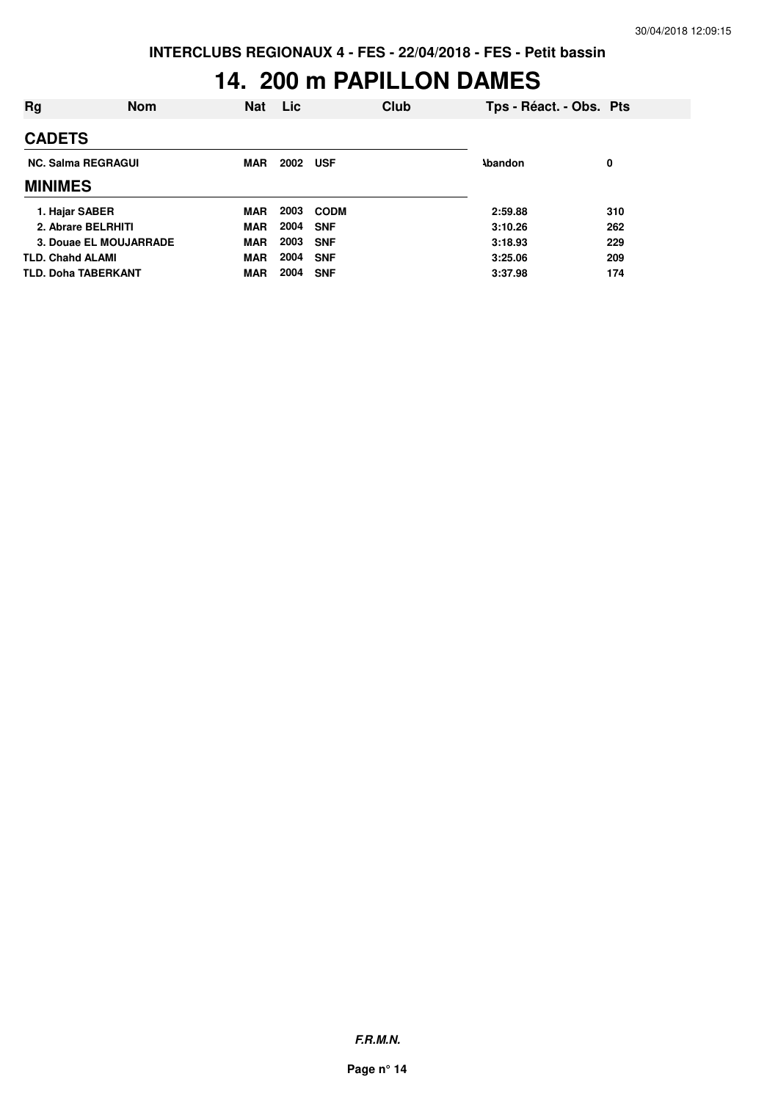## **14. 200 m PAPILLON DAMES**

| Rg                         | <b>Nom</b>             | <b>Nat</b> | Lic  |             | Club           | Tps - Réact. - Obs. Pts |     |
|----------------------------|------------------------|------------|------|-------------|----------------|-------------------------|-----|
| <b>CADETS</b>              |                        |            |      |             |                |                         |     |
| <b>NC. Salma REGRAGUI</b>  | <b>MAR</b>             | 2002 USF   |      |             | <b>\bandon</b> | 0                       |     |
| <b>MINIMES</b>             |                        |            |      |             |                |                         |     |
| 1. Hajar SABER             |                        | <b>MAR</b> | 2003 | <b>CODM</b> |                | 2:59.88                 | 310 |
| 2. Abrare BELRHITI         |                        | <b>MAR</b> | 2004 | <b>SNF</b>  |                | 3:10.26                 | 262 |
|                            | 3. Douae EL MOUJARRADE | <b>MAR</b> | 2003 | <b>SNF</b>  |                | 3:18.93                 | 229 |
| <b>TLD. Chahd ALAMI</b>    |                        | <b>MAR</b> | 2004 | <b>SNF</b>  |                | 3:25.06                 | 209 |
| <b>TLD. Doha TABERKANT</b> |                        | <b>MAR</b> | 2004 | <b>SNF</b>  |                | 3:37.98                 | 174 |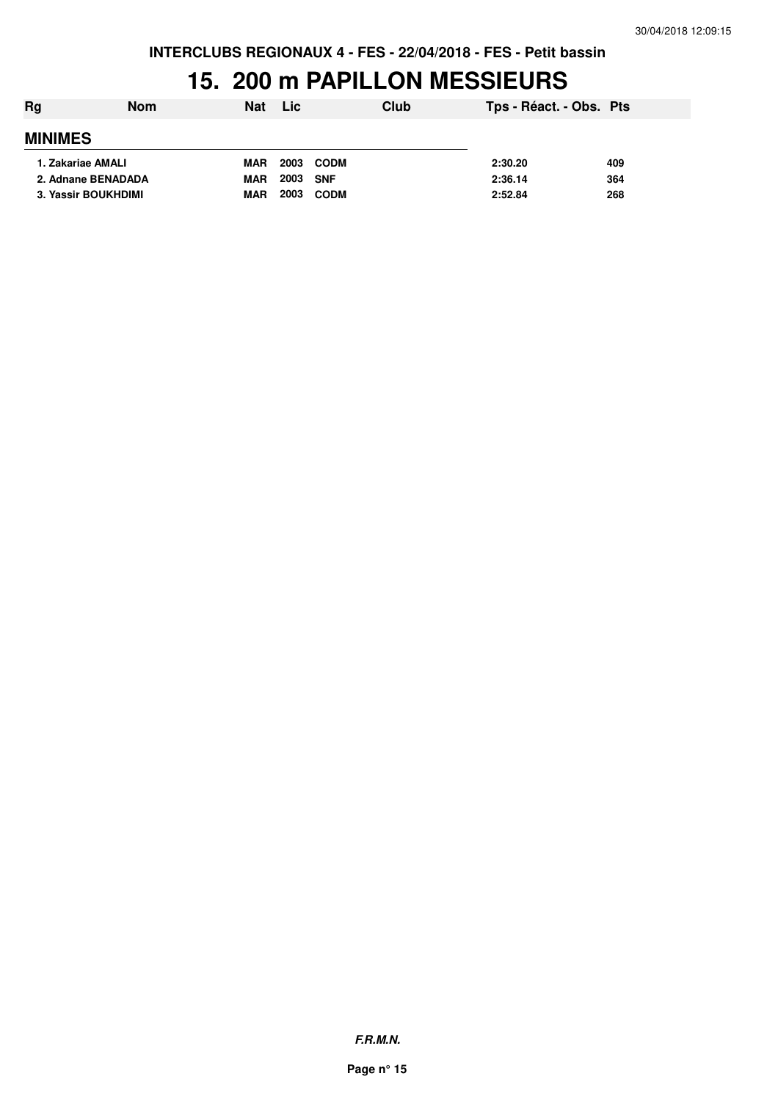#### **15. 200 m PAPILLON MESSIEURS**

| Rg             | <b>Nom</b>          | <b>Nat</b> | Lic: | Club        | Tps - Réact. - Obs. Pts |     |
|----------------|---------------------|------------|------|-------------|-------------------------|-----|
| <b>MINIMES</b> |                     |            |      |             |                         |     |
|                | 1. Zakariae AMALI   | <b>MAR</b> | 2003 | CODM        | 2:30.20                 | 409 |
|                | 2. Adnane BENADADA  | <b>MAR</b> | 2003 | <b>SNF</b>  | 2:36.14                 | 364 |
|                | 3. Yassir BOUKHDIMI | <b>MAR</b> | 2003 | <b>CODM</b> | 2:52.84                 | 268 |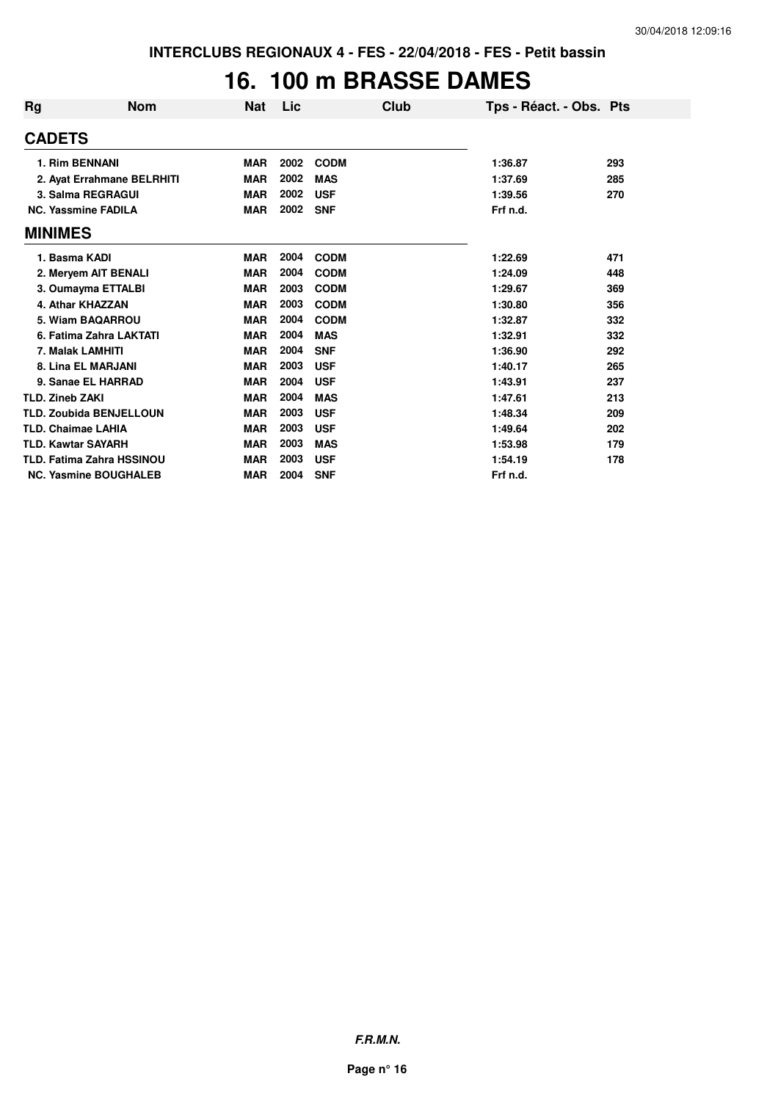## **16. 100 m BRASSE DAMES**

| Rg                        | <b>Nom</b>                       | <b>Nat</b> | Lic  | Club        | Tps - Réact. - Obs. Pts |     |
|---------------------------|----------------------------------|------------|------|-------------|-------------------------|-----|
| <b>CADETS</b>             |                                  |            |      |             |                         |     |
| 1. Rim BENNANI            |                                  | <b>MAR</b> | 2002 | <b>CODM</b> | 1:36.87                 | 293 |
|                           | 2. Ayat Errahmane BELRHITI       | <b>MAR</b> | 2002 | <b>MAS</b>  | 1:37.69                 | 285 |
|                           | 3. Salma REGRAGUI                | <b>MAR</b> | 2002 | <b>USF</b>  | 1:39.56                 | 270 |
|                           | <b>NC. Yassmine FADILA</b>       | <b>MAR</b> | 2002 | <b>SNF</b>  | Frf n.d.                |     |
| <b>MINIMES</b>            |                                  |            |      |             |                         |     |
| 1. Basma KADI             |                                  | <b>MAR</b> | 2004 | <b>CODM</b> | 1:22.69                 | 471 |
|                           | 2. Meryem AIT BENALI             | <b>MAR</b> | 2004 | <b>CODM</b> | 1:24.09                 | 448 |
|                           | 3. Oumayma ETTALBI               | <b>MAR</b> | 2003 | <b>CODM</b> | 1:29.67                 | 369 |
|                           | 4. Athar KHAZZAN                 | <b>MAR</b> | 2003 | <b>CODM</b> | 1:30.80                 | 356 |
|                           | 5. Wiam BAQARROU                 | <b>MAR</b> | 2004 | <b>CODM</b> | 1:32.87                 | 332 |
|                           | 6. Fatima Zahra LAKTATI          | <b>MAR</b> | 2004 | <b>MAS</b>  | 1:32.91                 | 332 |
| 7. Malak LAMHITI          |                                  | <b>MAR</b> | 2004 | <b>SNF</b>  | 1:36.90                 | 292 |
|                           | 8. Lina EL MARJANI               | <b>MAR</b> | 2003 | <b>USF</b>  | 1:40.17                 | 265 |
|                           | 9. Sanae EL HARRAD               | <b>MAR</b> | 2004 | <b>USF</b>  | 1:43.91                 | 237 |
| <b>TLD. Zineb ZAKI</b>    |                                  | <b>MAR</b> | 2004 | <b>MAS</b>  | 1:47.61                 | 213 |
|                           | <b>TLD. Zoubida BENJELLOUN</b>   | <b>MAR</b> | 2003 | <b>USF</b>  | 1:48.34                 | 209 |
| <b>TLD. Chaimae LAHIA</b> |                                  | <b>MAR</b> | 2003 | <b>USF</b>  | 1:49.64                 | 202 |
| <b>TLD. Kawtar SAYARH</b> |                                  | <b>MAR</b> | 2003 | <b>MAS</b>  | 1:53.98                 | 179 |
|                           | <b>TLD. Fatima Zahra HSSINOU</b> | <b>MAR</b> | 2003 | <b>USF</b>  | 1:54.19                 | 178 |
|                           | <b>NC. Yasmine BOUGHALEB</b>     | <b>MAR</b> | 2004 | <b>SNF</b>  | Frf n.d.                |     |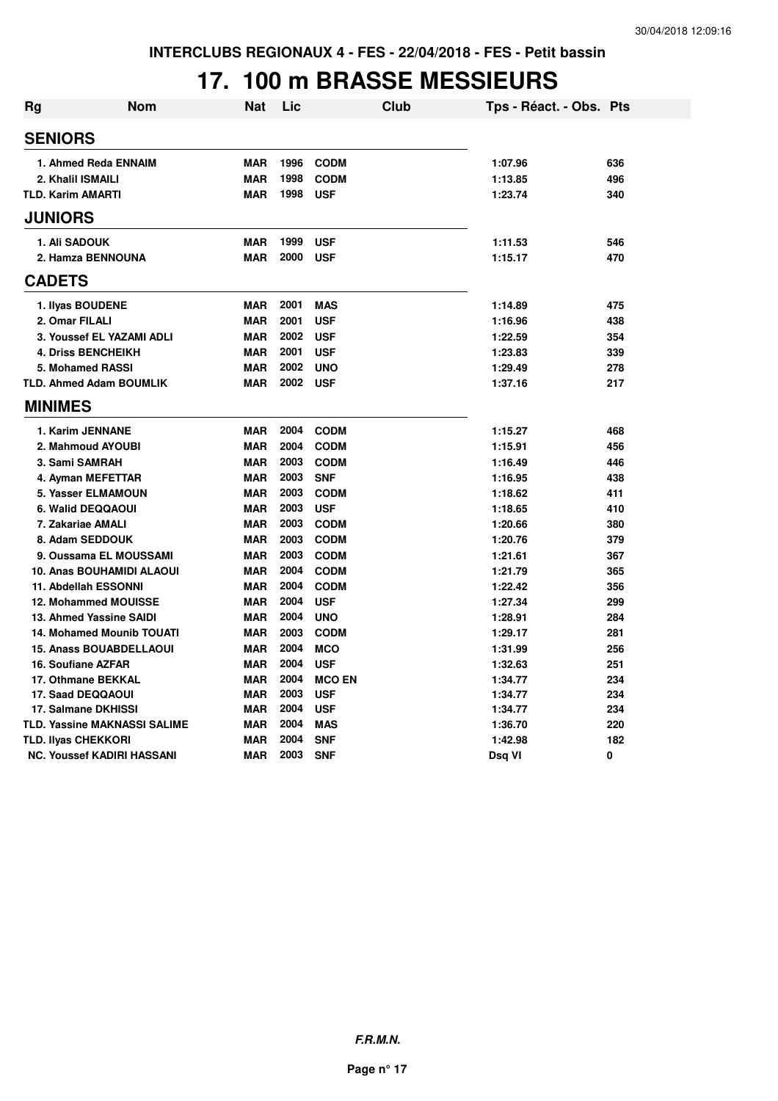## **17. 100 m BRASSE MESSIEURS**

| <b>Rg</b> | Nom                                         | <b>Nat</b>               | Lic          | <b>Club</b>              | Tps - Réact. - Obs. Pts |            |
|-----------|---------------------------------------------|--------------------------|--------------|--------------------------|-------------------------|------------|
|           | <b>SENIORS</b>                              |                          |              |                          |                         |            |
|           | 1. Ahmed Reda ENNAIM                        | <b>MAR</b>               | 1996         | <b>CODM</b>              | 1:07.96                 | 636        |
|           | 2. Khalil ISMAILI                           | <b>MAR</b>               | 1998         | <b>CODM</b>              | 1:13.85                 | 496        |
|           | <b>TLD. Karim AMARTI</b>                    | <b>MAR</b>               | 1998         | <b>USF</b>               | 1:23.74                 | 340        |
|           | <b>JUNIORS</b>                              |                          |              |                          |                         |            |
|           | 1. Ali SADOUK                               | <b>MAR</b>               | 1999         | <b>USF</b>               | 1:11.53                 | 546        |
|           | 2. Hamza BENNOUNA                           | <b>MAR</b>               | 2000         | <b>USF</b>               | 1:15.17                 | 470        |
|           | <b>CADETS</b>                               |                          |              |                          |                         |            |
|           |                                             |                          |              |                          |                         |            |
|           | 1. Ilyas BOUDENE                            | <b>MAR</b>               | 2001<br>2001 | <b>MAS</b>               | 1:14.89                 | 475        |
|           | 2. Omar FILALI<br>3. Youssef EL YAZAMI ADLI | <b>MAR</b><br><b>MAR</b> | 2002         | <b>USF</b>               | 1:16.96                 | 438        |
|           | <b>4. Driss BENCHEIKH</b>                   | <b>MAR</b>               | 2001         | <b>USF</b><br><b>USF</b> | 1:22.59<br>1:23.83      | 354<br>339 |
|           | 5. Mohamed RASSI                            | <b>MAR</b>               | 2002         | <b>UNO</b>               | 1:29.49                 | 278        |
|           | <b>TLD. Ahmed Adam BOUMLIK</b>              | <b>MAR</b>               | 2002         | <b>USF</b>               |                         | 217        |
|           |                                             |                          |              |                          | 1:37.16                 |            |
|           | <b>MINIMES</b>                              |                          |              |                          |                         |            |
|           | 1. Karim JENNANE                            | <b>MAR</b>               | 2004         | <b>CODM</b>              | 1:15.27                 | 468        |
|           | 2. Mahmoud AYOUBI                           | <b>MAR</b>               | 2004         | <b>CODM</b>              | 1:15.91                 | 456        |
|           | 3. Sami SAMRAH                              | <b>MAR</b>               | 2003         | <b>CODM</b>              | 1:16.49                 | 446        |
|           | 4. Ayman MEFETTAR                           | <b>MAR</b>               | 2003         | <b>SNF</b>               | 1:16.95                 | 438        |
|           | 5. Yasser ELMAMOUN                          | <b>MAR</b>               | 2003         | <b>CODM</b>              | 1:18.62                 | 411        |
|           | 6. Walid DEQQAOUI                           | <b>MAR</b>               | 2003         | <b>USF</b>               | 1:18.65                 | 410        |
|           | 7. Zakariae AMALI                           | <b>MAR</b>               | 2003         | <b>CODM</b>              | 1:20.66                 | 380        |
|           | 8. Adam SEDDOUK                             | <b>MAR</b>               | 2003         | <b>CODM</b>              | 1:20.76                 | 379        |
|           | 9. Oussama EL MOUSSAMI                      | <b>MAR</b>               | 2003         | <b>CODM</b>              | 1:21.61                 | 367        |
|           | <b>10. Anas BOUHAMIDI ALAOUI</b>            | <b>MAR</b>               | 2004         | <b>CODM</b>              | 1:21.79                 | 365        |
|           | <b>11. Abdellah ESSONNI</b>                 | <b>MAR</b>               | 2004         | <b>CODM</b>              | 1:22.42                 | 356        |
|           | <b>12. Mohammed MOUISSE</b>                 | <b>MAR</b>               | 2004         | <b>USF</b>               | 1:27.34                 | 299        |
|           | 13. Ahmed Yassine SAIDI                     | <b>MAR</b>               | 2004         | <b>UNO</b>               | 1:28.91                 | 284        |
|           | <b>14. Mohamed Mounib TOUATI</b>            | <b>MAR</b>               | 2003         | <b>CODM</b>              | 1:29.17                 | 281        |
|           | <b>15. Anass BOUABDELLAOUI</b>              | <b>MAR</b>               | 2004         | <b>MCO</b>               | 1:31.99                 | 256        |
|           | 16. Soufiane AZFAR                          | <b>MAR</b>               | 2004         | <b>USF</b>               | 1:32.63                 | 251        |
|           | 17. Othmane BEKKAL                          | <b>MAR</b>               | 2004         | <b>MCO EN</b>            | 1:34.77                 | 234        |
|           | 17. Saad DEQQAOUI                           | <b>MAR</b>               | 2003         | <b>USF</b>               | 1:34.77                 | 234        |
|           | 17. Salmane DKHISSI                         | <b>MAR</b>               | 2004         | <b>USF</b>               | 1:34.77                 | 234        |
|           | <b>TLD. Yassine MAKNASSI SALIME</b>         | <b>MAR</b>               | 2004         | <b>MAS</b>               | 1:36.70                 | 220        |
|           | <b>TLD. Ilyas CHEKKORI</b>                  | <b>MAR</b>               | 2004         | <b>SNF</b>               | 1:42.98                 | 182        |
|           | <b>NC. Youssef KADIRI HASSANI</b>           | <b>MAR</b>               | 2003         | <b>SNF</b>               | Dsq VI                  | 0          |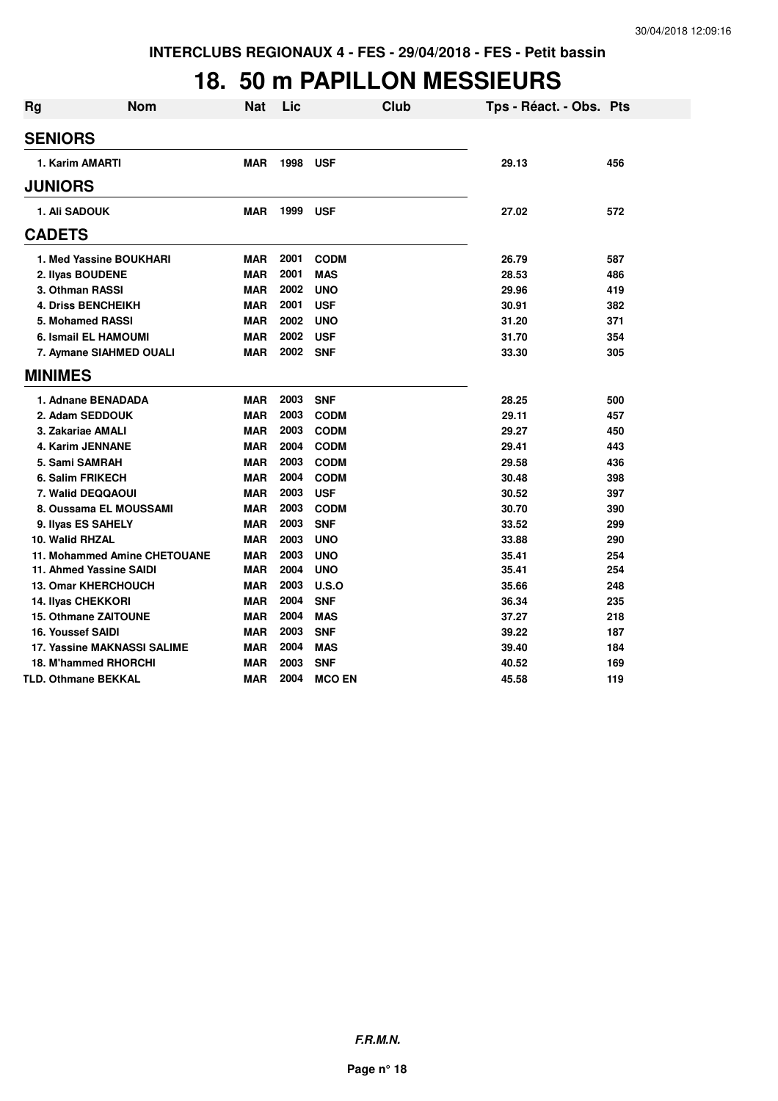## **18. 50 m PAPILLON MESSIEURS**

| <b>Rg</b> | <b>Nom</b>                         | <b>Nat</b> | Lic  |               | <b>Club</b> | Tps - Réact. - Obs. Pts |     |
|-----------|------------------------------------|------------|------|---------------|-------------|-------------------------|-----|
|           | <b>SENIORS</b>                     |            |      |               |             |                         |     |
|           | 1. Karim AMARTI                    | <b>MAR</b> | 1998 | <b>USF</b>    |             | 29.13                   | 456 |
|           | <b>JUNIORS</b>                     |            |      |               |             |                         |     |
|           | <b>1. Ali SADOUK</b>               | <b>MAR</b> | 1999 | <b>USF</b>    |             | 27.02                   | 572 |
|           | <b>CADETS</b>                      |            |      |               |             |                         |     |
|           | 1. Med Yassine BOUKHARI            | <b>MAR</b> | 2001 | <b>CODM</b>   |             | 26.79                   | 587 |
|           | 2. Ilyas BOUDENE                   | <b>MAR</b> | 2001 | <b>MAS</b>    |             | 28.53                   | 486 |
|           | 3. Othman RASSI                    | <b>MAR</b> | 2002 | <b>UNO</b>    |             | 29.96                   | 419 |
|           | <b>4. Driss BENCHEIKH</b>          | <b>MAR</b> | 2001 | <b>USF</b>    |             | 30.91                   | 382 |
|           | 5. Mohamed RASSI                   | <b>MAR</b> | 2002 | <b>UNO</b>    |             | 31.20                   | 371 |
|           | 6. Ismail EL HAMOUMI               | <b>MAR</b> | 2002 | <b>USF</b>    |             | 31.70                   | 354 |
|           | 7. Aymane SIAHMED OUALI            | <b>MAR</b> | 2002 | <b>SNF</b>    |             | 33.30                   | 305 |
|           | <b>MINIMES</b>                     |            |      |               |             |                         |     |
|           | 1. Adnane BENADADA                 | <b>MAR</b> | 2003 | <b>SNF</b>    |             | 28.25                   | 500 |
|           | 2. Adam SEDDOUK                    | <b>MAR</b> | 2003 | <b>CODM</b>   |             | 29.11                   | 457 |
|           | 3. Zakariae AMALI                  | <b>MAR</b> | 2003 | <b>CODM</b>   |             | 29.27                   | 450 |
|           | 4. Karim JENNANE                   | <b>MAR</b> | 2004 | <b>CODM</b>   |             | 29.41                   | 443 |
|           | 5. Sami SAMRAH                     | <b>MAR</b> | 2003 | <b>CODM</b>   |             | 29.58                   | 436 |
|           | 6. Salim FRIKECH                   | <b>MAR</b> | 2004 | <b>CODM</b>   |             | 30.48                   | 398 |
|           | 7. Walid DEQQAOUI                  | <b>MAR</b> | 2003 | <b>USF</b>    |             | 30.52                   | 397 |
|           | 8. Oussama EL MOUSSAMI             | <b>MAR</b> | 2003 | <b>CODM</b>   |             | 30.70                   | 390 |
|           | 9. Ilyas ES SAHELY                 | <b>MAR</b> | 2003 | <b>SNF</b>    |             | 33.52                   | 299 |
|           | 10. Walid RHZAL                    | <b>MAR</b> | 2003 | <b>UNO</b>    |             | 33.88                   | 290 |
|           | 11. Mohammed Amine CHETOUANE       | <b>MAR</b> | 2003 | <b>UNO</b>    |             | 35.41                   | 254 |
|           | 11. Ahmed Yassine SAIDI            | <b>MAR</b> | 2004 | <b>UNO</b>    |             | 35.41                   | 254 |
|           | <b>13. Omar KHERCHOUCH</b>         | <b>MAR</b> | 2003 | U.S.O         |             | 35.66                   | 248 |
|           | <b>14. Ilyas CHEKKORI</b>          | <b>MAR</b> | 2004 | <b>SNF</b>    |             | 36.34                   | 235 |
|           | 15. Othmane ZAITOUNE               | <b>MAR</b> | 2004 | <b>MAS</b>    |             | 37.27                   | 218 |
|           | <b>16. Youssef SAIDI</b>           | <b>MAR</b> | 2003 | <b>SNF</b>    |             | 39.22                   | 187 |
|           | <b>17. Yassine MAKNASSI SALIME</b> | MAR        | 2004 | <b>MAS</b>    |             | 39.40                   | 184 |
|           | 18. M'hammed RHORCHI               | <b>MAR</b> | 2003 | <b>SNF</b>    |             | 40.52                   | 169 |
|           | <b>TLD. Othmane BEKKAL</b>         | <b>MAR</b> | 2004 | <b>MCO EN</b> |             | 45.58                   | 119 |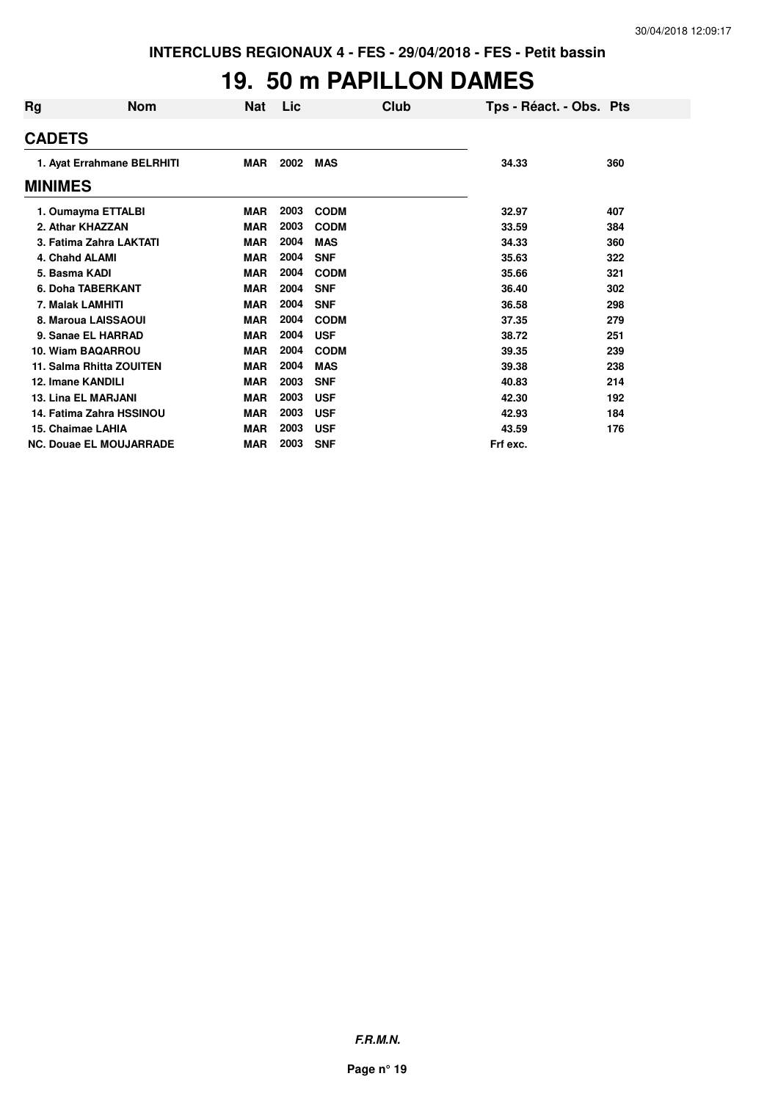#### **19. 50 m PAPILLON DAMES**

| Rg | <b>Nom</b>                     | Nat        | Lic  | Club        | Tps - Réact. - Obs. Pts |     |
|----|--------------------------------|------------|------|-------------|-------------------------|-----|
|    | <b>CADETS</b>                  |            |      |             |                         |     |
|    | 1. Ayat Errahmane BELRHITI     | MAR        | 2002 | <b>MAS</b>  | 34.33                   | 360 |
|    | <b>MINIMES</b>                 |            |      |             |                         |     |
|    | 1. Oumayma ETTALBI             | <b>MAR</b> | 2003 | <b>CODM</b> | 32.97                   | 407 |
|    | 2. Athar KHAZZAN               | <b>MAR</b> | 2003 | <b>CODM</b> | 33.59                   | 384 |
|    | 3. Fatima Zahra LAKTATI        | <b>MAR</b> | 2004 | <b>MAS</b>  | 34.33                   | 360 |
|    | 4. Chahd ALAMI                 | <b>MAR</b> | 2004 | <b>SNF</b>  | 35.63                   | 322 |
|    | 5. Basma KADI                  | <b>MAR</b> | 2004 | <b>CODM</b> | 35.66                   | 321 |
|    | 6. Doha TABERKANT              | <b>MAR</b> | 2004 | <b>SNF</b>  | 36.40                   | 302 |
|    | 7. Malak LAMHITI               | <b>MAR</b> | 2004 | <b>SNF</b>  | 36.58                   | 298 |
|    | 8. Maroua LAISSAOUI            | <b>MAR</b> | 2004 | <b>CODM</b> | 37.35                   | 279 |
|    | 9. Sanae EL HARRAD             | <b>MAR</b> | 2004 | <b>USF</b>  | 38.72                   | 251 |
|    | 10. Wiam BAQARROU              | <b>MAR</b> | 2004 | <b>CODM</b> | 39.35                   | 239 |
|    | 11. Salma Rhitta ZOUITEN       | <b>MAR</b> | 2004 | <b>MAS</b>  | 39.38                   | 238 |
|    | 12. Imane KANDILI              | <b>MAR</b> | 2003 | <b>SNF</b>  | 40.83                   | 214 |
|    | <b>13. Lina EL MARJANI</b>     | <b>MAR</b> | 2003 | <b>USF</b>  | 42.30                   | 192 |
|    | 14. Fatima Zahra HSSINOU       | <b>MAR</b> | 2003 | <b>USF</b>  | 42.93                   | 184 |
|    | 15. Chaimae LAHIA              | <b>MAR</b> | 2003 | <b>USF</b>  | 43.59                   | 176 |
|    | <b>NC. Douae EL MOUJARRADE</b> | <b>MAR</b> | 2003 | <b>SNF</b>  | Frf exc.                |     |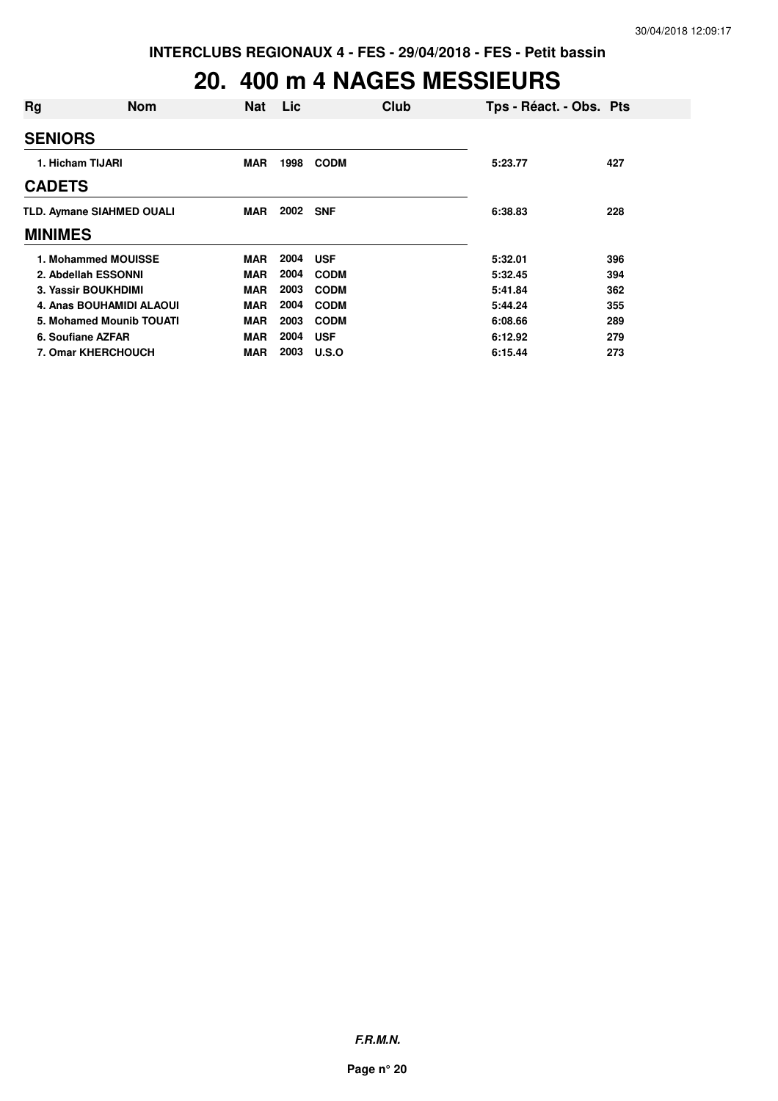## **20. 400 m 4 NAGES MESSIEURS**

| Rg                        | <b>Nom</b> | <b>Nat</b> | Lic      | Club        | Tps - Réact. - Obs. Pts |     |
|---------------------------|------------|------------|----------|-------------|-------------------------|-----|
| <b>SENIORS</b>            |            |            |          |             |                         |     |
| 1. Hicham TIJARI          |            | <b>MAR</b> | 1998     | <b>CODM</b> | 5:23.77                 | 427 |
| <b>CADETS</b>             |            |            |          |             |                         |     |
| TLD. Aymane SIAHMED OUALI |            | MAR        | 2002 SNF |             | 6:38.83                 | 228 |
| <b>MINIMES</b>            |            |            |          |             |                         |     |
| 1. Mohammed MOUISSE       |            | <b>MAR</b> | 2004     | <b>USF</b>  | 5:32.01                 | 396 |
| 2. Abdellah ESSONNI       |            | <b>MAR</b> | 2004     | <b>CODM</b> | 5:32.45                 | 394 |
| 3. Yassir BOUKHDIMI       |            | <b>MAR</b> | 2003     | <b>CODM</b> | 5:41.84                 | 362 |
| 4. Anas BOUHAMIDI ALAOUI  |            | <b>MAR</b> | 2004     | <b>CODM</b> | 5:44.24                 | 355 |
| 5. Mohamed Mounib TOUATI  |            | <b>MAR</b> | 2003     | <b>CODM</b> | 6:08.66                 | 289 |
| 6. Soufiane AZFAR         |            | <b>MAR</b> | 2004     | <b>USF</b>  | 6:12.92                 | 279 |
| <b>7. Omar KHERCHOUCH</b> |            | <b>MAR</b> | 2003     | U.S.O       | 6:15.44                 | 273 |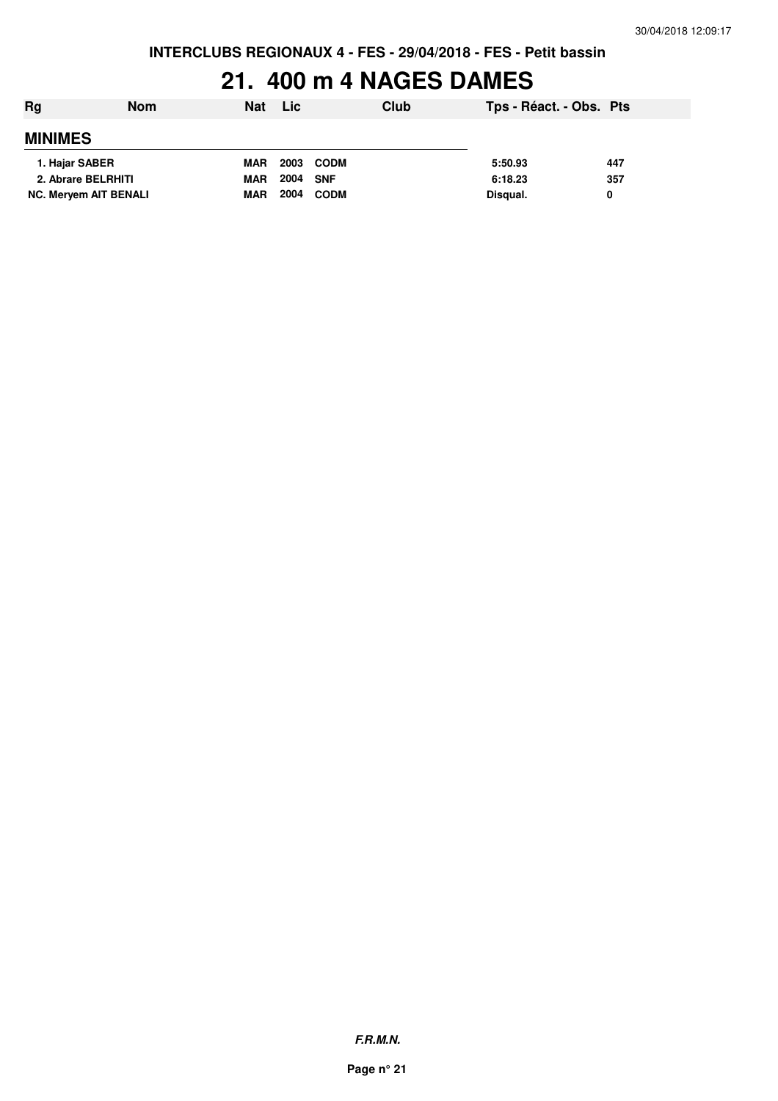## **21. 400 m 4 NAGES DAMES**

| Rg                           | <b>Nom</b> | <b>Nat</b> | Lic  |             | Club | Tps - Réact. - Obs. Pts |     |
|------------------------------|------------|------------|------|-------------|------|-------------------------|-----|
| <b>MINIMES</b>               |            |            |      |             |      |                         |     |
| 1. Hajar SABER               |            | <b>MAR</b> | 2003 | <b>CODM</b> |      | 5:50.93                 | 447 |
| 2. Abrare BELRHITI           |            | <b>MAR</b> | 2004 | SNF         |      | 6:18.23                 | 357 |
| <b>NC. Meryem AIT BENALI</b> |            | <b>MAR</b> | 2004 | <b>CODM</b> |      | Disqual.                | 0   |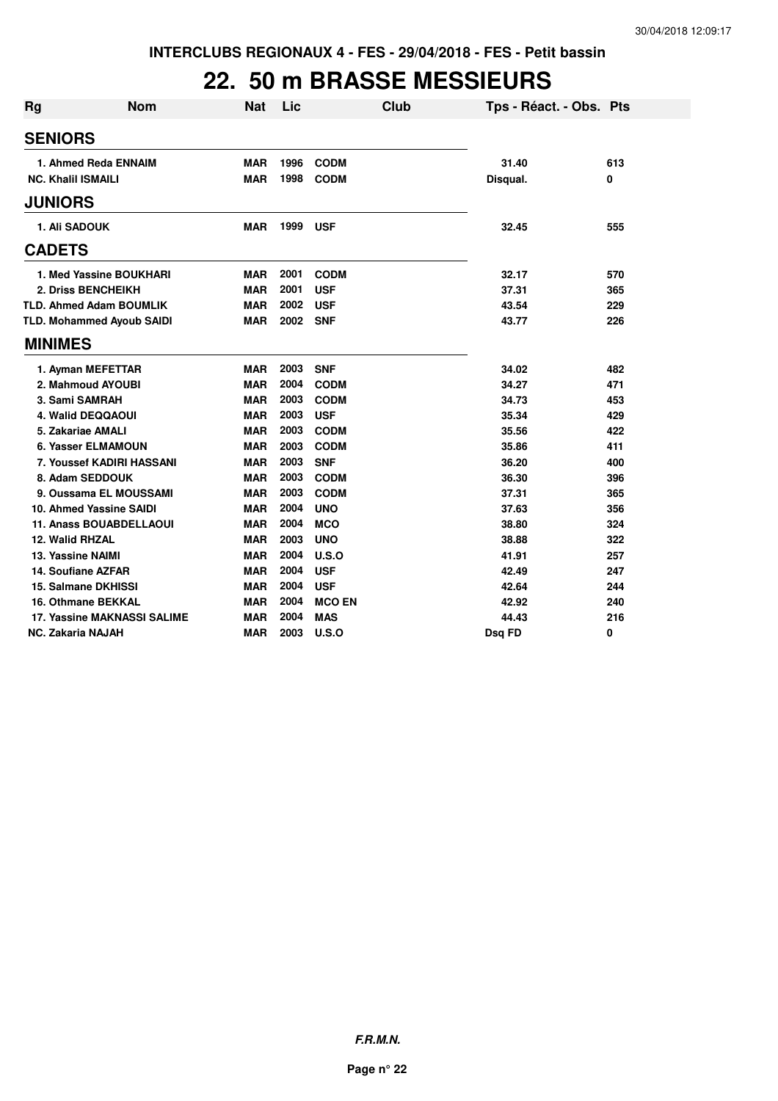#### **22. 50 m BRASSE MESSIEURS**

| <b>Rg</b> | <b>Nom</b>                       | <b>Nat</b> | Lic  |               | Club | Tps - Réact. - Obs. Pts |     |
|-----------|----------------------------------|------------|------|---------------|------|-------------------------|-----|
|           | <b>SENIORS</b>                   |            |      |               |      |                         |     |
|           | 1. Ahmed Reda ENNAIM             | <b>MAR</b> | 1996 | <b>CODM</b>   |      | 31.40                   | 613 |
|           | <b>NC. Khalil ISMAILI</b>        | <b>MAR</b> | 1998 | <b>CODM</b>   |      | Disqual.                | 0   |
|           | <b>JUNIORS</b>                   |            |      |               |      |                         |     |
|           | 1. Ali SADOUK                    | <b>MAR</b> | 1999 | <b>USF</b>    |      | 32.45                   | 555 |
|           | <b>CADETS</b>                    |            |      |               |      |                         |     |
|           | 1. Med Yassine BOUKHARI          | <b>MAR</b> | 2001 | <b>CODM</b>   |      | 32.17                   | 570 |
|           | 2. Driss BENCHEIKH               | <b>MAR</b> | 2001 | <b>USF</b>    |      | 37.31                   | 365 |
|           | <b>TLD. Ahmed Adam BOUMLIK</b>   | MAR        | 2002 | <b>USF</b>    |      | 43.54                   | 229 |
|           | <b>TLD. Mohammed Ayoub SAIDI</b> | <b>MAR</b> | 2002 | <b>SNF</b>    |      | 43.77                   | 226 |
|           | <b>MINIMES</b>                   |            |      |               |      |                         |     |
|           | 1. Ayman MEFETTAR                | <b>MAR</b> | 2003 | <b>SNF</b>    |      | 34.02                   | 482 |
|           | 2. Mahmoud AYOUBI                | <b>MAR</b> | 2004 | <b>CODM</b>   |      | 34.27                   | 471 |
|           | 3. Sami SAMRAH                   | <b>MAR</b> | 2003 | <b>CODM</b>   |      | 34.73                   | 453 |
|           | 4. Walid DEQQAOUI                | <b>MAR</b> | 2003 | <b>USF</b>    |      | 35.34                   | 429 |
|           | 5. Zakariae AMALI                | <b>MAR</b> | 2003 | <b>CODM</b>   |      | 35.56                   | 422 |
|           | 6. Yasser ELMAMOUN               | <b>MAR</b> | 2003 | <b>CODM</b>   |      | 35.86                   | 411 |
|           | 7. Youssef KADIRI HASSANI        | <b>MAR</b> | 2003 | <b>SNF</b>    |      | 36.20                   | 400 |
|           | 8. Adam SEDDOUK                  | <b>MAR</b> | 2003 | <b>CODM</b>   |      | 36.30                   | 396 |
|           | 9. Oussama EL MOUSSAMI           | <b>MAR</b> | 2003 | <b>CODM</b>   |      | 37.31                   | 365 |
|           | 10. Ahmed Yassine SAIDI          | <b>MAR</b> | 2004 | <b>UNO</b>    |      | 37.63                   | 356 |
|           | <b>11. Anass BOUABDELLAOUI</b>   | <b>MAR</b> | 2004 | <b>MCO</b>    |      | 38.80                   | 324 |
|           | 12. Walid RHZAL                  | <b>MAR</b> | 2003 | <b>UNO</b>    |      | 38.88                   | 322 |
|           | 13. Yassine NAIMI                | <b>MAR</b> | 2004 | U.S.O         |      | 41.91                   | 257 |
|           | 14. Soufiane AZFAR               | <b>MAR</b> | 2004 | <b>USF</b>    |      | 42.49                   | 247 |
|           | 15. Salmane DKHISSI              | <b>MAR</b> | 2004 | <b>USF</b>    |      | 42.64                   | 244 |
|           | 16. Othmane BEKKAL               | <b>MAR</b> | 2004 | <b>MCO EN</b> |      | 42.92                   | 240 |
|           | 17. Yassine MAKNASSI SALIME      | <b>MAR</b> | 2004 | <b>MAS</b>    |      | 44.43                   | 216 |
|           | <b>NC. Zakaria NAJAH</b>         | <b>MAR</b> | 2003 | U.S.O         |      | Dsg FD                  | 0   |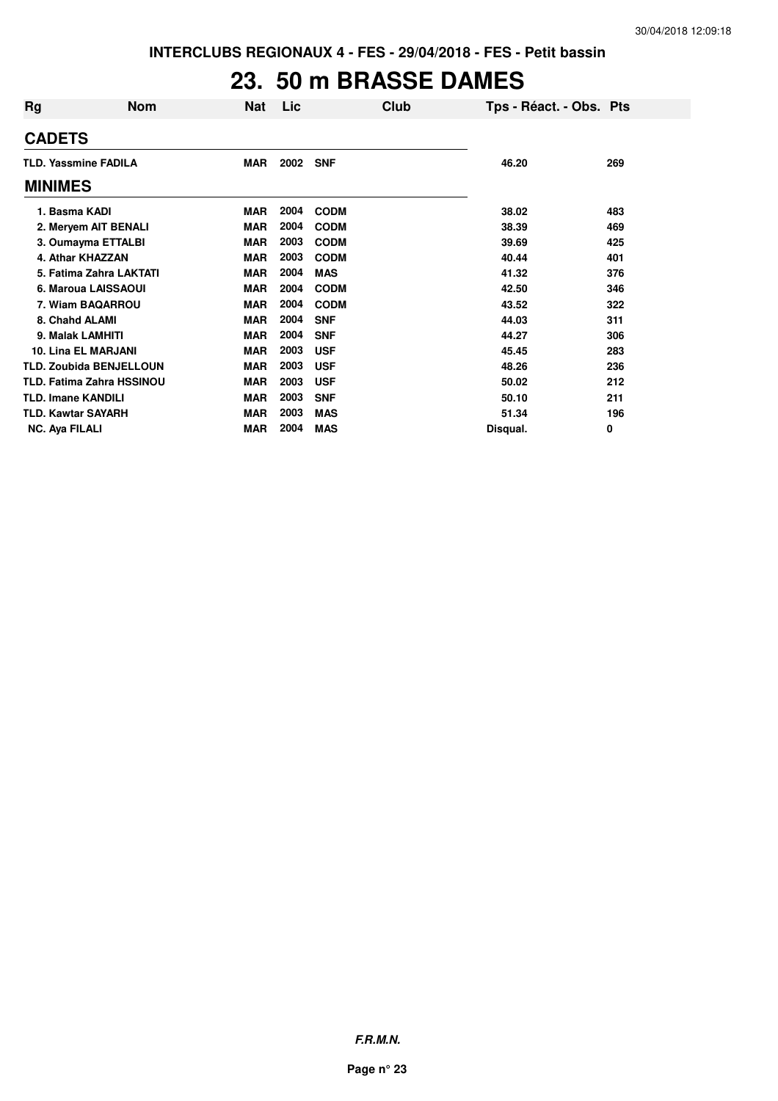## **23. 50 m BRASSE DAMES**

| Rg                               | <b>Nom</b> | <b>Nat</b> | Lic  |             | Club | Tps - Réact. - Obs. Pts |     |
|----------------------------------|------------|------------|------|-------------|------|-------------------------|-----|
| <b>CADETS</b>                    |            |            |      |             |      |                         |     |
| <b>TLD. Yassmine FADILA</b>      |            | <b>MAR</b> | 2002 | <b>SNF</b>  |      | 46.20                   | 269 |
| <b>MINIMES</b>                   |            |            |      |             |      |                         |     |
| 1. Basma KADI                    |            | <b>MAR</b> | 2004 | <b>CODM</b> |      | 38.02                   | 483 |
| 2. Meryem AIT BENALI             |            | <b>MAR</b> | 2004 | <b>CODM</b> |      | 38.39                   | 469 |
| 3. Oumayma ETTALBI               |            | <b>MAR</b> | 2003 | <b>CODM</b> |      | 39.69                   | 425 |
| 4. Athar KHAZZAN                 |            | <b>MAR</b> | 2003 | <b>CODM</b> |      | 40.44                   | 401 |
| 5. Fatima Zahra LAKTATI          |            | <b>MAR</b> | 2004 | <b>MAS</b>  |      | 41.32                   | 376 |
| 6. Maroua LAISSAOUI              |            | <b>MAR</b> | 2004 | <b>CODM</b> |      | 42.50                   | 346 |
| 7. Wiam BAQARROU                 |            | <b>MAR</b> | 2004 | <b>CODM</b> |      | 43.52                   | 322 |
| 8. Chahd ALAMI                   |            | <b>MAR</b> | 2004 | <b>SNF</b>  |      | 44.03                   | 311 |
| 9. Malak LAMHITI                 |            | <b>MAR</b> | 2004 | <b>SNF</b>  |      | 44.27                   | 306 |
| <b>10. Lina EL MARJANI</b>       |            | <b>MAR</b> | 2003 | <b>USF</b>  |      | 45.45                   | 283 |
| <b>TLD. Zoubida BENJELLOUN</b>   |            | <b>MAR</b> | 2003 | <b>USF</b>  |      | 48.26                   | 236 |
| <b>TLD. Fatima Zahra HSSINOU</b> |            | <b>MAR</b> | 2003 | <b>USF</b>  |      | 50.02                   | 212 |
| <b>TLD. Imane KANDILI</b>        |            | <b>MAR</b> | 2003 | <b>SNF</b>  |      | 50.10                   | 211 |
| <b>TLD. Kawtar SAYARH</b>        |            | <b>MAR</b> | 2003 | <b>MAS</b>  |      | 51.34                   | 196 |
| <b>NC. Ava FILALI</b>            |            | <b>MAR</b> | 2004 | <b>MAS</b>  |      | Disqual.                | 0   |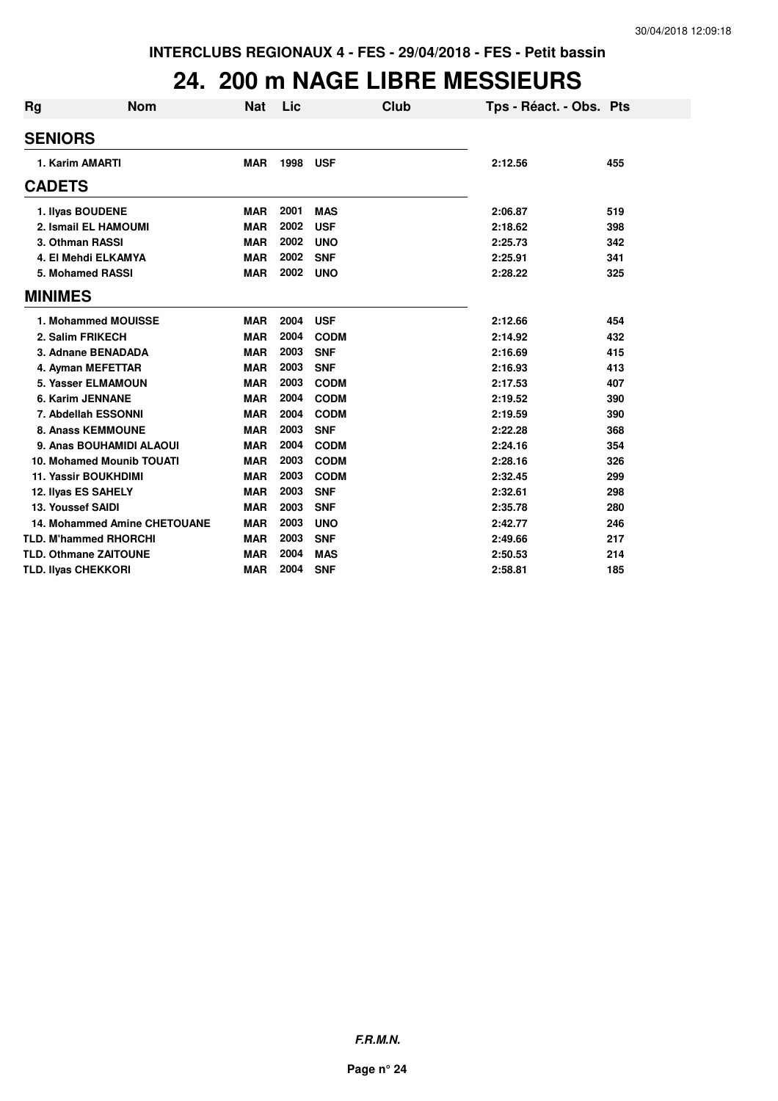#### **24. 200 m NAGE LIBRE MESSIEURS**

| Rg | <b>Nom</b>                          | Nat        | Lic  | Club        | Tps - Réact. - Obs. Pts |     |
|----|-------------------------------------|------------|------|-------------|-------------------------|-----|
|    | <b>SENIORS</b>                      |            |      |             |                         |     |
|    | 1. Karim AMARTI                     | <b>MAR</b> | 1998 | <b>USF</b>  | 2:12.56                 | 455 |
|    | <b>CADETS</b>                       |            |      |             |                         |     |
|    | 1. Ilyas BOUDENE                    | <b>MAR</b> | 2001 | <b>MAS</b>  | 2:06.87                 | 519 |
|    | 2. Ismail EL HAMOUMI                | <b>MAR</b> | 2002 | <b>USF</b>  | 2:18.62                 | 398 |
|    | 3. Othman RASSI                     | <b>MAR</b> | 2002 | <b>UNO</b>  | 2:25.73                 | 342 |
|    | 4. El Mehdi ELKAMYA                 | <b>MAR</b> | 2002 | <b>SNF</b>  | 2:25.91                 | 341 |
|    | 5. Mohamed RASSI                    | <b>MAR</b> | 2002 | <b>UNO</b>  | 2:28.22                 | 325 |
|    | <b>MINIMES</b>                      |            |      |             |                         |     |
|    | 1. Mohammed MOUISSE                 | <b>MAR</b> | 2004 | <b>USF</b>  | 2:12.66                 | 454 |
|    | 2. Salim FRIKECH                    | <b>MAR</b> | 2004 | <b>CODM</b> | 2:14.92                 | 432 |
|    | 3. Adnane BENADADA                  | <b>MAR</b> | 2003 | <b>SNF</b>  | 2:16.69                 | 415 |
|    | 4. Ayman MEFETTAR                   | <b>MAR</b> | 2003 | <b>SNF</b>  | 2:16.93                 | 413 |
|    | 5. Yasser ELMAMOUN                  | <b>MAR</b> | 2003 | <b>CODM</b> | 2:17.53                 | 407 |
|    | 6. Karim JENNANE                    | <b>MAR</b> | 2004 | <b>CODM</b> | 2:19.52                 | 390 |
|    | 7. Abdellah ESSONNI                 | <b>MAR</b> | 2004 | <b>CODM</b> | 2:19.59                 | 390 |
|    | <b>8. Anass KEMMOUNE</b>            | <b>MAR</b> | 2003 | <b>SNF</b>  | 2:22.28                 | 368 |
|    | 9. Anas BOUHAMIDI ALAOUI            | <b>MAR</b> | 2004 | <b>CODM</b> | 2:24.16                 | 354 |
|    | 10. Mohamed Mounib TOUATI           | <b>MAR</b> | 2003 | <b>CODM</b> | 2:28.16                 | 326 |
|    | <b>11. Yassir BOUKHDIMI</b>         | <b>MAR</b> | 2003 | <b>CODM</b> | 2:32.45                 | 299 |
|    | 12. Ilyas ES SAHELY                 | <b>MAR</b> | 2003 | <b>SNF</b>  | 2:32.61                 | 298 |
|    | 13. Youssef SAIDI                   | <b>MAR</b> | 2003 | <b>SNF</b>  | 2:35.78                 | 280 |
|    | <b>14. Mohammed Amine CHETOUANE</b> | <b>MAR</b> | 2003 | <b>UNO</b>  | 2:42.77                 | 246 |
|    | <b>TLD. M'hammed RHORCHI</b>        | <b>MAR</b> | 2003 | <b>SNF</b>  | 2:49.66                 | 217 |
|    | <b>TLD. Othmane ZAITOUNE</b>        | <b>MAR</b> | 2004 | <b>MAS</b>  | 2:50.53                 | 214 |
|    | <b>TLD. Ilyas CHEKKORI</b>          | <b>MAR</b> | 2004 | <b>SNF</b>  | 2:58.81                 | 185 |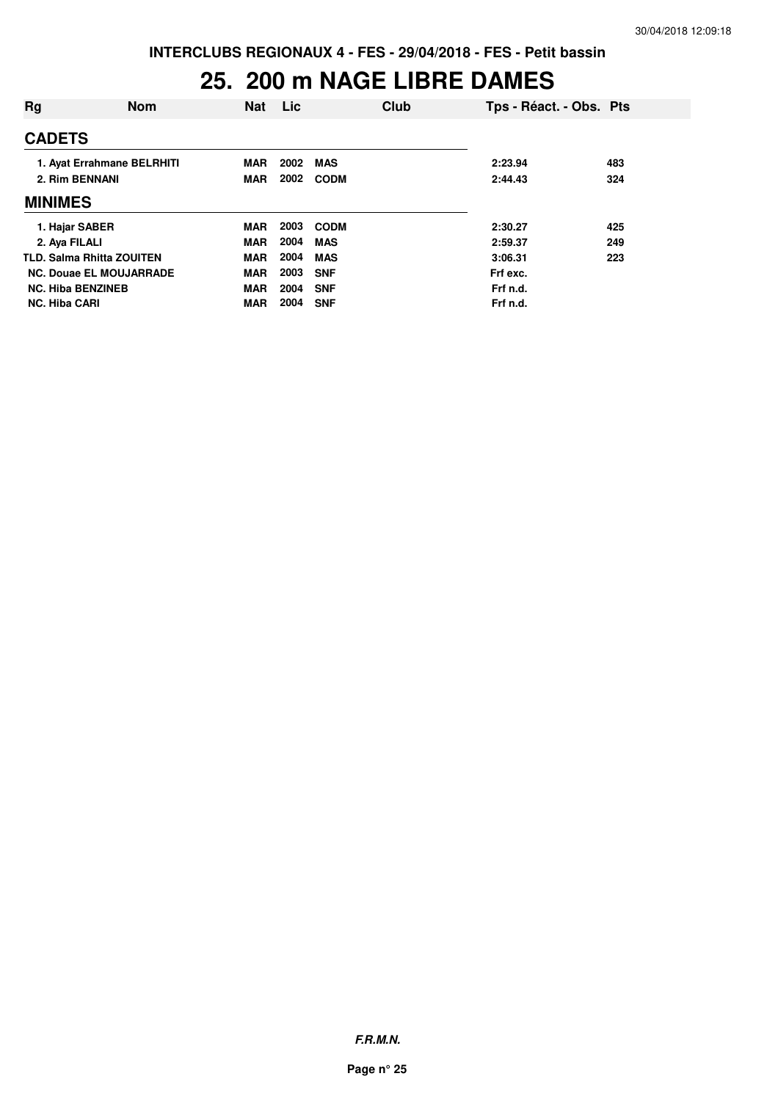## **25. 200 m NAGE LIBRE DAMES**

| Rg                               | <b>Nom</b>                 | <b>Nat</b> | Lic  |             | Club | Tps - Réact. - Obs. Pts |     |
|----------------------------------|----------------------------|------------|------|-------------|------|-------------------------|-----|
| <b>CADETS</b>                    |                            |            |      |             |      |                         |     |
|                                  | 1. Ayat Errahmane BELRHITI | <b>MAR</b> | 2002 | <b>MAS</b>  |      | 2:23.94                 | 483 |
| 2. Rim BENNANI                   |                            | MAR        | 2002 | <b>CODM</b> |      | 2:44.43                 | 324 |
| <b>MINIMES</b>                   |                            |            |      |             |      |                         |     |
| 1. Hajar SABER                   |                            | <b>MAR</b> | 2003 | <b>CODM</b> |      | 2:30.27                 | 425 |
| 2. Aya FILALI                    |                            | <b>MAR</b> | 2004 | <b>MAS</b>  |      | 2:59.37                 | 249 |
| <b>TLD. Salma Rhitta ZOUITEN</b> |                            | <b>MAR</b> | 2004 | <b>MAS</b>  |      | 3:06.31                 | 223 |
| <b>NC. Douae EL MOUJARRADE</b>   |                            | <b>MAR</b> | 2003 | <b>SNF</b>  |      | Frf exc.                |     |
| <b>NC. Hiba BENZINEB</b>         |                            | <b>MAR</b> | 2004 | <b>SNF</b>  |      | Frf n.d.                |     |
| <b>NC. Hiba CARI</b>             |                            | <b>MAR</b> | 2004 | <b>SNF</b>  |      | Frf n.d.                |     |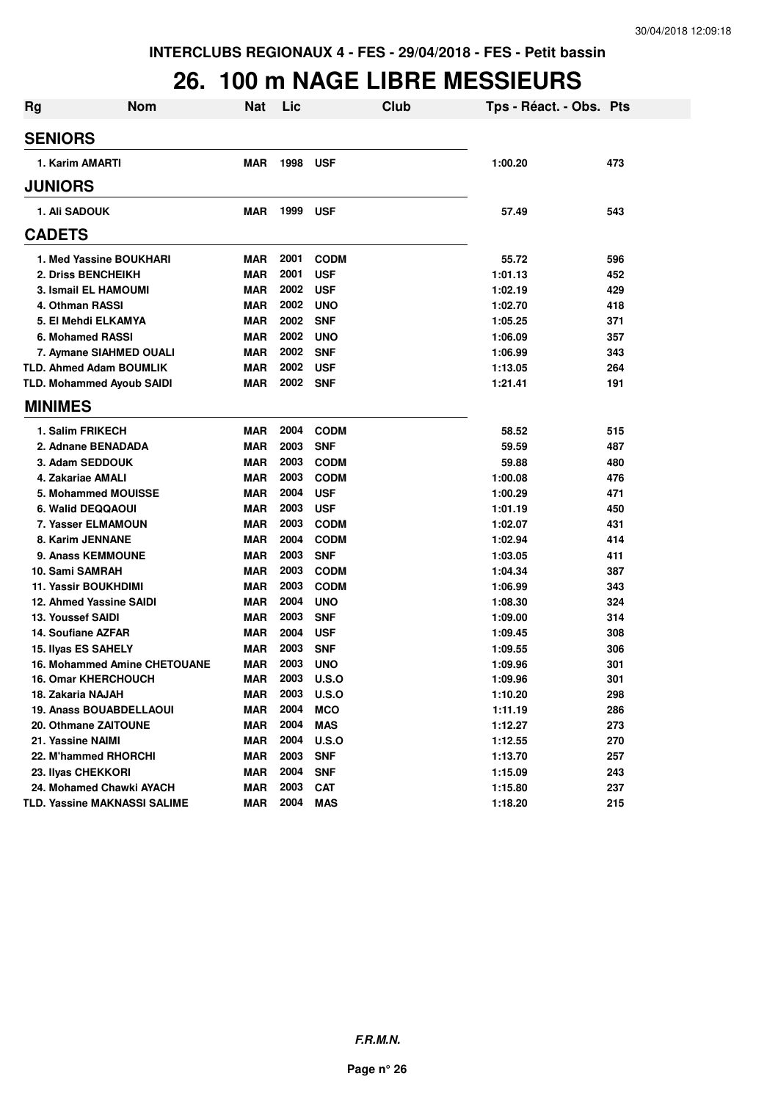#### **26. 100 m NAGE LIBRE MESSIEURS**

| <b>Rg</b> | <b>Nom</b>                          | <b>Nat</b> | Lic  |             | Club | Tps - Réact. - Obs. Pts |     |
|-----------|-------------------------------------|------------|------|-------------|------|-------------------------|-----|
|           | <b>SENIORS</b>                      |            |      |             |      |                         |     |
|           | 1. Karim AMARTI                     | <b>MAR</b> | 1998 | <b>USF</b>  |      | 1:00.20                 | 473 |
|           | <b>JUNIORS</b>                      |            |      |             |      |                         |     |
|           | 1. Ali SADOUK                       | <b>MAR</b> | 1999 | <b>USF</b>  |      | 57.49                   | 543 |
|           | <b>CADETS</b>                       |            |      |             |      |                         |     |
|           | 1. Med Yassine BOUKHARI             | <b>MAR</b> | 2001 | <b>CODM</b> |      | 55.72                   | 596 |
|           | 2. Driss BENCHEIKH                  | <b>MAR</b> | 2001 | <b>USF</b>  |      | 1:01.13                 | 452 |
|           | 3. Ismail EL HAMOUMI                | <b>MAR</b> | 2002 | <b>USF</b>  |      | 1:02.19                 | 429 |
|           | 4. Othman RASSI                     | <b>MAR</b> | 2002 | <b>UNO</b>  |      | 1:02.70                 | 418 |
|           | 5. El Mehdi ELKAMYA                 | <b>MAR</b> | 2002 | <b>SNF</b>  |      | 1:05.25                 | 371 |
|           | 6. Mohamed RASSI                    | <b>MAR</b> | 2002 | <b>UNO</b>  |      | 1:06.09                 | 357 |
|           | 7. Aymane SIAHMED OUALI             | <b>MAR</b> | 2002 | <b>SNF</b>  |      | 1:06.99                 | 343 |
|           | <b>TLD. Ahmed Adam BOUMLIK</b>      | <b>MAR</b> | 2002 | <b>USF</b>  |      | 1:13.05                 | 264 |
|           | <b>TLD. Mohammed Ayoub SAIDI</b>    | <b>MAR</b> | 2002 | <b>SNF</b>  |      | 1:21.41                 | 191 |
|           | <b>MINIMES</b>                      |            |      |             |      |                         |     |
|           | 1. Salim FRIKECH                    | <b>MAR</b> | 2004 | <b>CODM</b> |      | 58.52                   | 515 |
|           | 2. Adnane BENADADA                  | <b>MAR</b> | 2003 | <b>SNF</b>  |      | 59.59                   | 487 |
|           | 3. Adam SEDDOUK                     | <b>MAR</b> | 2003 | <b>CODM</b> |      | 59.88                   | 480 |
|           | 4. Zakariae AMALI                   | <b>MAR</b> | 2003 | <b>CODM</b> |      | 1:00.08                 | 476 |
|           | 5. Mohammed MOUISSE                 | <b>MAR</b> | 2004 | <b>USF</b>  |      | 1:00.29                 | 471 |
|           | 6. Walid DEQQAOUI                   | <b>MAR</b> | 2003 | <b>USF</b>  |      | 1:01.19                 | 450 |
|           | 7. Yasser ELMAMOUN                  | <b>MAR</b> | 2003 | <b>CODM</b> |      | 1:02.07                 | 431 |
|           | 8. Karim JENNANE                    | <b>MAR</b> | 2004 | <b>CODM</b> |      | 1:02.94                 | 414 |
|           | 9. Anass KEMMOUNE                   | <b>MAR</b> | 2003 | <b>SNF</b>  |      | 1:03.05                 | 411 |
|           | 10. Sami SAMRAH                     | <b>MAR</b> | 2003 | <b>CODM</b> |      | 1:04.34                 | 387 |
|           | <b>11. Yassir BOUKHDIMI</b>         | <b>MAR</b> | 2003 | <b>CODM</b> |      | 1:06.99                 | 343 |
|           | 12. Ahmed Yassine SAIDI             | <b>MAR</b> | 2004 | <b>UNO</b>  |      | 1:08.30                 | 324 |
|           | 13. Youssef SAIDI                   | <b>MAR</b> | 2003 | <b>SNF</b>  |      | 1:09.00                 | 314 |
|           | 14. Soufiane AZFAR                  | <b>MAR</b> | 2004 | <b>USF</b>  |      | 1:09.45                 | 308 |
|           | 15. Ilyas ES SAHELY                 | MAR        | 2003 | <b>SNF</b>  |      | 1:09.55                 | 306 |
|           | <b>16. Mohammed Amine CHETOUANE</b> | MAR        | 2003 | <b>UNO</b>  |      | 1:09.96                 | 301 |
|           | <b>16. Omar KHERCHOUCH</b>          | <b>MAR</b> | 2003 | U.S.O       |      | 1:09.96                 | 301 |
|           | 18. Zakaria NAJAH                   | <b>MAR</b> | 2003 | U.S.O       |      | 1:10.20                 | 298 |
|           | <b>19. Anass BOUABDELLAOUI</b>      | <b>MAR</b> | 2004 | <b>MCO</b>  |      | 1:11.19                 | 286 |
|           | 20. Othmane ZAITOUNE                | <b>MAR</b> | 2004 | <b>MAS</b>  |      | 1:12.27                 | 273 |
|           | 21. Yassine NAIMI                   | <b>MAR</b> | 2004 | U.S.O       |      | 1:12.55                 | 270 |
|           | 22. M'hammed RHORCHI                | <b>MAR</b> | 2003 | <b>SNF</b>  |      | 1:13.70                 | 257 |
|           | 23. Ilyas CHEKKORI                  | <b>MAR</b> | 2004 | <b>SNF</b>  |      | 1:15.09                 | 243 |
|           | 24. Mohamed Chawki AYACH            | <b>MAR</b> | 2003 | <b>CAT</b>  |      | 1:15.80                 | 237 |
|           | <b>TLD. Yassine MAKNASSI SALIME</b> | <b>MAR</b> | 2004 | <b>MAS</b>  |      | 1:18.20                 | 215 |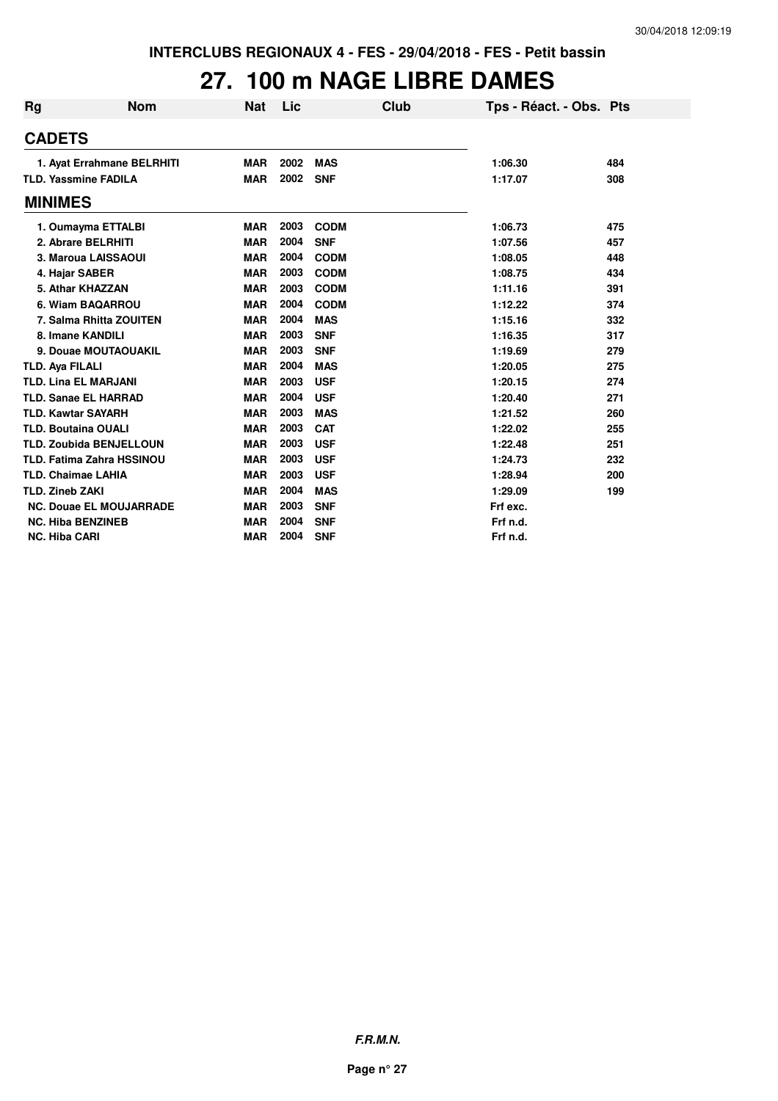## **27. 100 m NAGE LIBRE DAMES**

| <b>Rg</b> | <b>Nom</b>                       | <b>Nat</b> | Lic  | Club        | Tps - Réact. - Obs. Pts |     |
|-----------|----------------------------------|------------|------|-------------|-------------------------|-----|
|           | <b>CADETS</b>                    |            |      |             |                         |     |
|           | 1. Ayat Errahmane BELRHITI       | <b>MAR</b> | 2002 | <b>MAS</b>  | 1:06.30                 | 484 |
|           | <b>TLD. Yassmine FADILA</b>      | <b>MAR</b> | 2002 | <b>SNF</b>  | 1:17.07                 | 308 |
|           | <b>MINIMES</b>                   |            |      |             |                         |     |
|           | 1. Oumayma ETTALBI               | <b>MAR</b> | 2003 | <b>CODM</b> | 1:06.73                 | 475 |
|           | 2. Abrare BELRHITI               | <b>MAR</b> | 2004 | <b>SNF</b>  | 1:07.56                 | 457 |
|           | 3. Maroua LAISSAOUI              | <b>MAR</b> | 2004 | <b>CODM</b> | 1:08.05                 | 448 |
|           | 4. Hajar SABER                   | <b>MAR</b> | 2003 | <b>CODM</b> | 1:08.75                 | 434 |
|           | 5. Athar KHAZZAN                 | <b>MAR</b> | 2003 | <b>CODM</b> | 1:11.16                 | 391 |
|           | 6. Wiam BAQARROU                 | <b>MAR</b> | 2004 | <b>CODM</b> | 1:12.22                 | 374 |
|           | 7. Salma Rhitta ZOUITEN          | <b>MAR</b> | 2004 | <b>MAS</b>  | 1:15.16                 | 332 |
|           | 8. Imane KANDILI                 | <b>MAR</b> | 2003 | <b>SNF</b>  | 1:16.35                 | 317 |
|           | 9. Douae MOUTAOUAKIL             | <b>MAR</b> | 2003 | <b>SNF</b>  | 1:19.69                 | 279 |
|           | <b>TLD. Aya FILALI</b>           | <b>MAR</b> | 2004 | <b>MAS</b>  | 1:20.05                 | 275 |
|           | <b>TLD. Lina EL MARJANI</b>      | <b>MAR</b> | 2003 | <b>USF</b>  | 1:20.15                 | 274 |
|           | <b>TLD. Sanae EL HARRAD</b>      | <b>MAR</b> | 2004 | <b>USF</b>  | 1:20.40                 | 271 |
|           | <b>TLD. Kawtar SAYARH</b>        | <b>MAR</b> | 2003 | <b>MAS</b>  | 1:21.52                 | 260 |
|           | <b>TLD. Boutaina OUALI</b>       | <b>MAR</b> | 2003 | <b>CAT</b>  | 1:22.02                 | 255 |
|           | <b>TLD. Zoubida BENJELLOUN</b>   | <b>MAR</b> | 2003 | <b>USF</b>  | 1:22.48                 | 251 |
|           | <b>TLD. Fatima Zahra HSSINOU</b> | <b>MAR</b> | 2003 | <b>USF</b>  | 1:24.73                 | 232 |
|           | <b>TLD. Chaimae LAHIA</b>        | <b>MAR</b> | 2003 | <b>USF</b>  | 1:28.94                 | 200 |
|           | <b>TLD. Zineb ZAKI</b>           | <b>MAR</b> | 2004 | <b>MAS</b>  | 1:29.09                 | 199 |
|           | <b>NC. Douae EL MOUJARRADE</b>   | <b>MAR</b> | 2003 | <b>SNF</b>  | Frf exc.                |     |
|           | <b>NC. Hiba BENZINEB</b>         | <b>MAR</b> | 2004 | <b>SNF</b>  | Frf n.d.                |     |
|           | <b>NC. Hiba CARI</b>             | <b>MAR</b> | 2004 | <b>SNF</b>  | Frf n.d.                |     |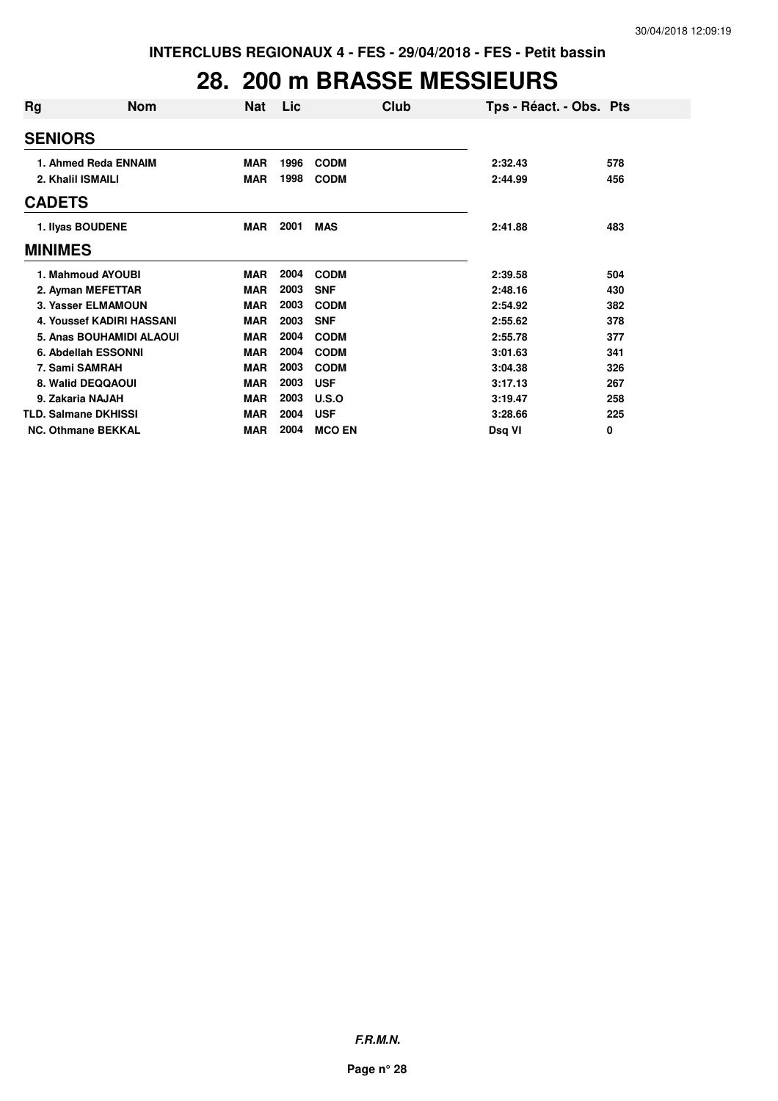### **28. 200 m BRASSE MESSIEURS**

| Rg               | <b>Nom</b>                       | <b>Nat</b> | Lic  | Club          | Tps - Réact. - Obs. Pts |     |
|------------------|----------------------------------|------------|------|---------------|-------------------------|-----|
|                  | <b>SENIORS</b>                   |            |      |               |                         |     |
|                  | 1. Ahmed Reda ENNAIM             | <b>MAR</b> | 1996 | <b>CODM</b>   | 2:32.43                 | 578 |
|                  | 2. Khalil ISMAILI                | <b>MAR</b> | 1998 | <b>CODM</b>   | 2:44.99                 | 456 |
|                  | <b>CADETS</b>                    |            |      |               |                         |     |
| 1. Ilyas BOUDENE |                                  | <b>MAR</b> | 2001 | <b>MAS</b>    | 2:41.88                 | 483 |
|                  | <b>MINIMES</b>                   |            |      |               |                         |     |
|                  | 1. Mahmoud AYOUBI                | <b>MAR</b> | 2004 | <b>CODM</b>   | 2:39.58                 | 504 |
|                  | 2. Ayman MEFETTAR                | <b>MAR</b> | 2003 | <b>SNF</b>    | 2:48.16                 | 430 |
|                  | 3. Yasser ELMAMOUN               | <b>MAR</b> | 2003 | <b>CODM</b>   | 2:54.92                 | 382 |
|                  | <b>4. Youssef KADIRI HASSANI</b> | <b>MAR</b> | 2003 | <b>SNF</b>    | 2:55.62                 | 378 |
|                  | 5. Anas BOUHAMIDI ALAOUI         | <b>MAR</b> | 2004 | <b>CODM</b>   | 2:55.78                 | 377 |
|                  | 6. Abdellah ESSONNI              | <b>MAR</b> | 2004 | <b>CODM</b>   | 3:01.63                 | 341 |
|                  | 7. Sami SAMRAH                   | <b>MAR</b> | 2003 | <b>CODM</b>   | 3:04.38                 | 326 |
|                  | 8. Walid DEQQAOUI                | <b>MAR</b> | 2003 | <b>USF</b>    | 3:17.13                 | 267 |
|                  | 9. Zakaria NAJAH                 | <b>MAR</b> | 2003 | U.S.O         | 3:19.47                 | 258 |
|                  | <b>TLD. Salmane DKHISSI</b>      | <b>MAR</b> | 2004 | <b>USF</b>    | 3:28.66                 | 225 |
|                  | <b>NC. Othmane BEKKAL</b>        | <b>MAR</b> | 2004 | <b>MCO EN</b> | Dsq VI                  | 0   |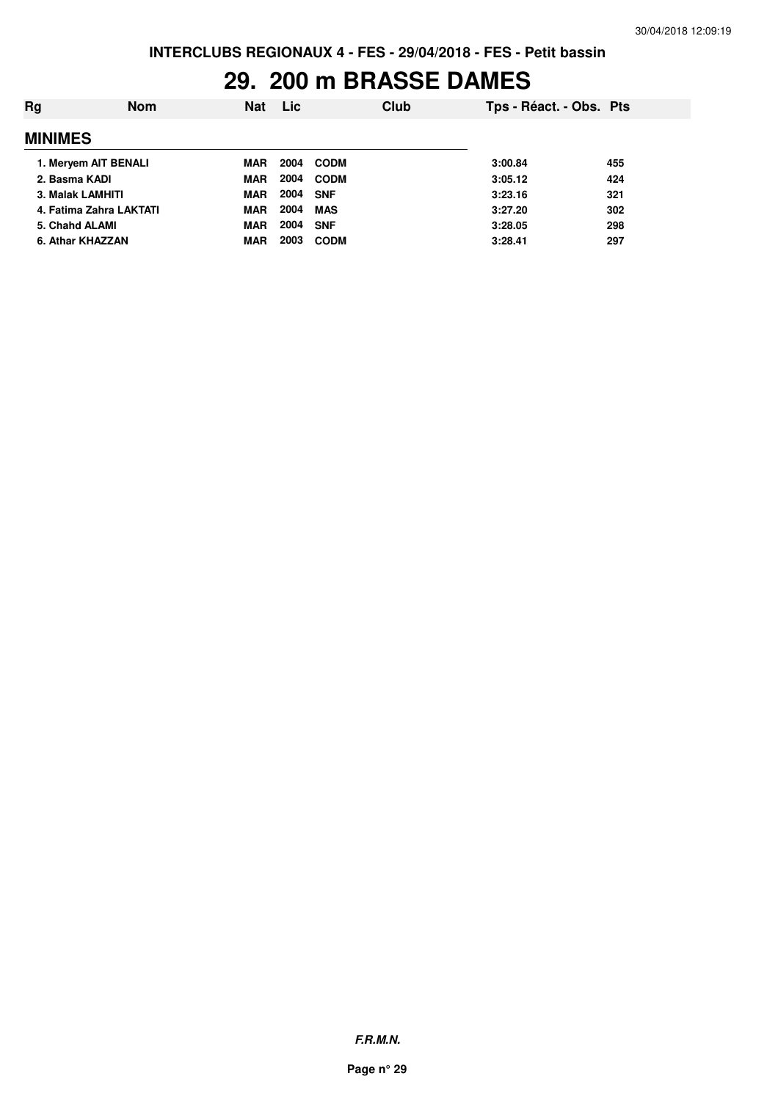## **29. 200 m BRASSE DAMES**

| Rg               | <b>Nom</b>              | <b>Nat</b> | <b>Lic</b> | Club        | Tps - Réact. - Obs. Pts |     |
|------------------|-------------------------|------------|------------|-------------|-------------------------|-----|
| <b>MINIMES</b>   |                         |            |            |             |                         |     |
|                  | 1. Meryem AIT BENALI    | <b>MAR</b> | 2004       | CODM        | 3:00.84                 | 455 |
| 2. Basma KADI    |                         | <b>MAR</b> | 2004       | <b>CODM</b> | 3:05.12                 | 424 |
| 3. Malak LAMHITI |                         | <b>MAR</b> | 2004 SNF   |             | 3:23.16                 | 321 |
|                  | 4. Fatima Zahra LAKTATI | <b>MAR</b> | 2004       | MAS         | 3:27.20                 | 302 |
| 5. Chahd ALAMI   |                         | <b>MAR</b> | 2004       | <b>SNF</b>  | 3:28.05                 | 298 |
| 6. Athar KHAZZAN |                         | <b>MAR</b> | 2003       | <b>CODM</b> | 3:28.41                 | 297 |
|                  |                         |            |            |             |                         |     |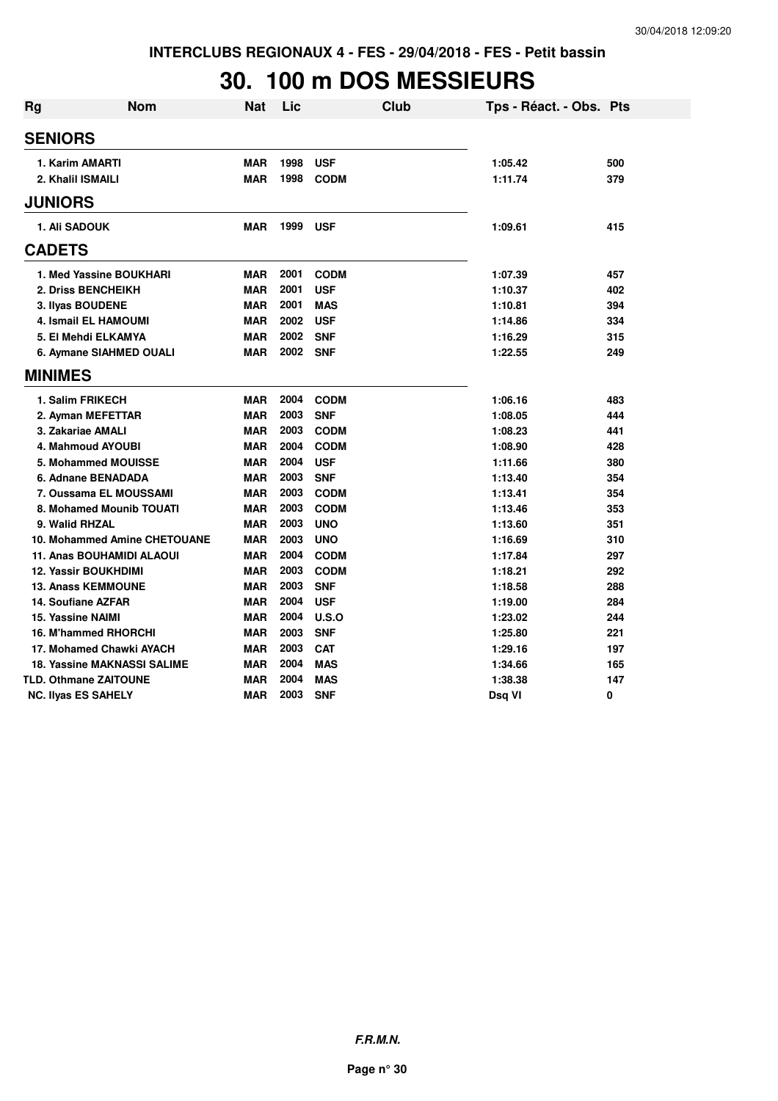## **30. 100 m DOS MESSIEURS**

| <b>Rg</b> | <b>Nom</b>                         | Nat        | Lic  | <b>Club</b> | Tps - Réact. - Obs. Pts |     |
|-----------|------------------------------------|------------|------|-------------|-------------------------|-----|
|           | <b>SENIORS</b>                     |            |      |             |                         |     |
|           | 1. Karim AMARTI                    | <b>MAR</b> | 1998 | <b>USF</b>  | 1:05.42                 | 500 |
|           | 2. Khalil ISMAILI                  | <b>MAR</b> | 1998 | <b>CODM</b> | 1:11.74                 | 379 |
|           | <b>JUNIORS</b>                     |            |      |             |                         |     |
|           | <b>1. Ali SADOUK</b>               | <b>MAR</b> | 1999 | <b>USF</b>  | 1:09.61                 | 415 |
|           | <b>CADETS</b>                      |            |      |             |                         |     |
|           | 1. Med Yassine BOUKHARI            | <b>MAR</b> | 2001 | <b>CODM</b> | 1:07.39                 | 457 |
|           | 2. Driss BENCHEIKH                 | <b>MAR</b> | 2001 | <b>USF</b>  | 1:10.37                 | 402 |
|           | 3. Ilyas BOUDENE                   | <b>MAR</b> | 2001 | <b>MAS</b>  | 1:10.81                 | 394 |
|           | <b>4. Ismail EL HAMOUMI</b>        | <b>MAR</b> | 2002 | <b>USF</b>  | 1:14.86                 | 334 |
|           | 5. El Mehdi ELKAMYA                | <b>MAR</b> | 2002 | <b>SNF</b>  | 1:16.29                 | 315 |
|           | 6. Aymane SIAHMED OUALI            | <b>MAR</b> | 2002 | <b>SNF</b>  | 1:22.55                 | 249 |
|           | <b>MINIMES</b>                     |            |      |             |                         |     |
|           | 1. Salim FRIKECH                   | <b>MAR</b> | 2004 | <b>CODM</b> | 1:06.16                 | 483 |
|           | 2. Ayman MEFETTAR                  | <b>MAR</b> | 2003 | <b>SNF</b>  | 1:08.05                 | 444 |
|           | 3. Zakariae AMALI                  | <b>MAR</b> | 2003 | <b>CODM</b> | 1:08.23                 | 441 |
|           | 4. Mahmoud AYOUBI                  | <b>MAR</b> | 2004 | <b>CODM</b> | 1:08.90                 | 428 |
|           | 5. Mohammed MOUISSE                | <b>MAR</b> | 2004 | <b>USF</b>  | 1:11.66                 | 380 |
|           | 6. Adnane BENADADA                 | <b>MAR</b> | 2003 | <b>SNF</b>  | 1:13.40                 | 354 |
|           | 7. Oussama EL MOUSSAMI             | <b>MAR</b> | 2003 | <b>CODM</b> | 1:13.41                 | 354 |
|           | 8. Mohamed Mounib TOUATI           | <b>MAR</b> | 2003 | <b>CODM</b> | 1:13.46                 | 353 |
|           | 9. Walid RHZAL                     | <b>MAR</b> | 2003 | <b>UNO</b>  | 1:13.60                 | 351 |
|           | 10. Mohammed Amine CHETOUANE       | <b>MAR</b> | 2003 | <b>UNO</b>  | 1:16.69                 | 310 |
|           | <b>11. Anas BOUHAMIDI ALAOUI</b>   | <b>MAR</b> | 2004 | <b>CODM</b> | 1:17.84                 | 297 |
|           | <b>12. Yassir BOUKHDIMI</b>        | <b>MAR</b> | 2003 | <b>CODM</b> | 1:18.21                 | 292 |
|           | <b>13. Anass KEMMOUNE</b>          | <b>MAR</b> | 2003 | <b>SNF</b>  | 1:18.58                 | 288 |
|           | 14. Soufiane AZFAR                 | <b>MAR</b> | 2004 | <b>USF</b>  | 1:19.00                 | 284 |
|           | <b>15. Yassine NAIMI</b>           | <b>MAR</b> | 2004 | U.S.O       | 1:23.02                 | 244 |
|           | 16. M'hammed RHORCHI               | <b>MAR</b> | 2003 | <b>SNF</b>  | 1:25.80                 | 221 |
|           | 17. Mohamed Chawki AYACH           | <b>MAR</b> | 2003 | <b>CAT</b>  | 1:29.16                 | 197 |
|           | <b>18. Yassine MAKNASSI SALIME</b> | <b>MAR</b> | 2004 | <b>MAS</b>  | 1:34.66                 | 165 |
|           | <b>TLD. Othmane ZAITOUNE</b>       | <b>MAR</b> | 2004 | <b>MAS</b>  | 1:38.38                 | 147 |
|           | <b>NC. Ilyas ES SAHELY</b>         | <b>MAR</b> | 2003 | <b>SNF</b>  | Dsq VI                  | 0   |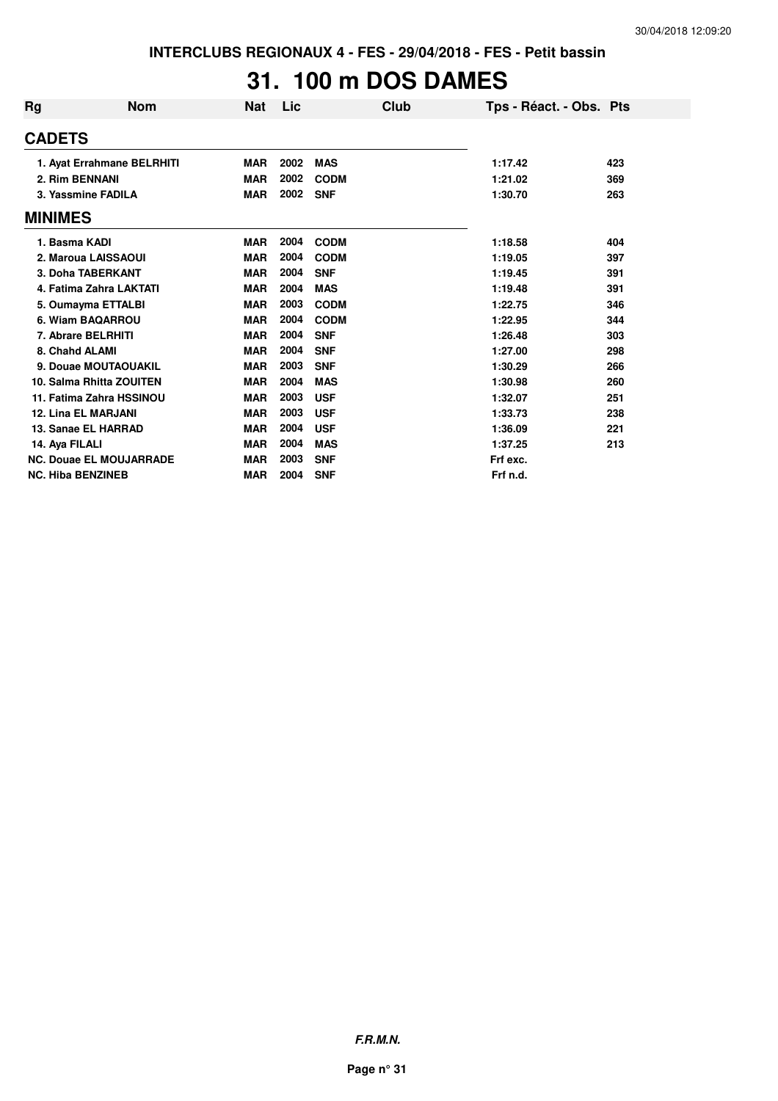# **31. 100 m DOS DAMES**

| Rg             | <b>Nom</b>                     | <b>Nat</b> | Lic  | Club        | Tps - Réact. - Obs. Pts |     |
|----------------|--------------------------------|------------|------|-------------|-------------------------|-----|
| <b>CADETS</b>  |                                |            |      |             |                         |     |
|                | 1. Ayat Errahmane BELRHITI     | <b>MAR</b> | 2002 | <b>MAS</b>  | 1:17.42                 | 423 |
|                | 2. Rim BENNANI                 | <b>MAR</b> | 2002 | <b>CODM</b> | 1:21.02                 | 369 |
|                | 3. Yassmine FADILA             | <b>MAR</b> | 2002 | <b>SNF</b>  | 1:30.70                 | 263 |
| <b>MINIMES</b> |                                |            |      |             |                         |     |
|                | 1. Basma KADI                  | <b>MAR</b> | 2004 | <b>CODM</b> | 1:18.58                 | 404 |
|                | 2. Maroua LAISSAOUI            | <b>MAR</b> | 2004 | <b>CODM</b> | 1:19.05                 | 397 |
|                | 3. Doha TABERKANT              | <b>MAR</b> | 2004 | <b>SNF</b>  | 1:19.45                 | 391 |
|                | 4. Fatima Zahra LAKTATI        | <b>MAR</b> | 2004 | <b>MAS</b>  | 1:19.48                 | 391 |
|                | 5. Oumayma ETTALBI             | <b>MAR</b> | 2003 | <b>CODM</b> | 1:22.75                 | 346 |
|                | 6. Wiam BAQARROU               | <b>MAR</b> | 2004 | <b>CODM</b> | 1:22.95                 | 344 |
|                | 7. Abrare BELRHITI             | <b>MAR</b> | 2004 | <b>SNF</b>  | 1:26.48                 | 303 |
|                | 8. Chahd ALAMI                 | <b>MAR</b> | 2004 | <b>SNF</b>  | 1:27.00                 | 298 |
|                | 9. Douae MOUTAOUAKIL           | <b>MAR</b> | 2003 | <b>SNF</b>  | 1:30.29                 | 266 |
|                | 10. Salma Rhitta ZOUITEN       | <b>MAR</b> | 2004 | <b>MAS</b>  | 1:30.98                 | 260 |
|                | 11. Fatima Zahra HSSINOU       | <b>MAR</b> | 2003 | <b>USF</b>  | 1:32.07                 | 251 |
|                | <b>12. Lina EL MARJANI</b>     | <b>MAR</b> | 2003 | <b>USF</b>  | 1:33.73                 | 238 |
|                | 13. Sanae EL HARRAD            | <b>MAR</b> | 2004 | <b>USF</b>  | 1:36.09                 | 221 |
|                | 14. Aya FILALI                 | <b>MAR</b> | 2004 | <b>MAS</b>  | 1:37.25                 | 213 |
|                | <b>NC. Douae EL MOUJARRADE</b> | <b>MAR</b> | 2003 | <b>SNF</b>  | Frf exc.                |     |
|                | <b>NC. Hiba BENZINEB</b>       | <b>MAR</b> | 2004 | <b>SNF</b>  | Frf n.d.                |     |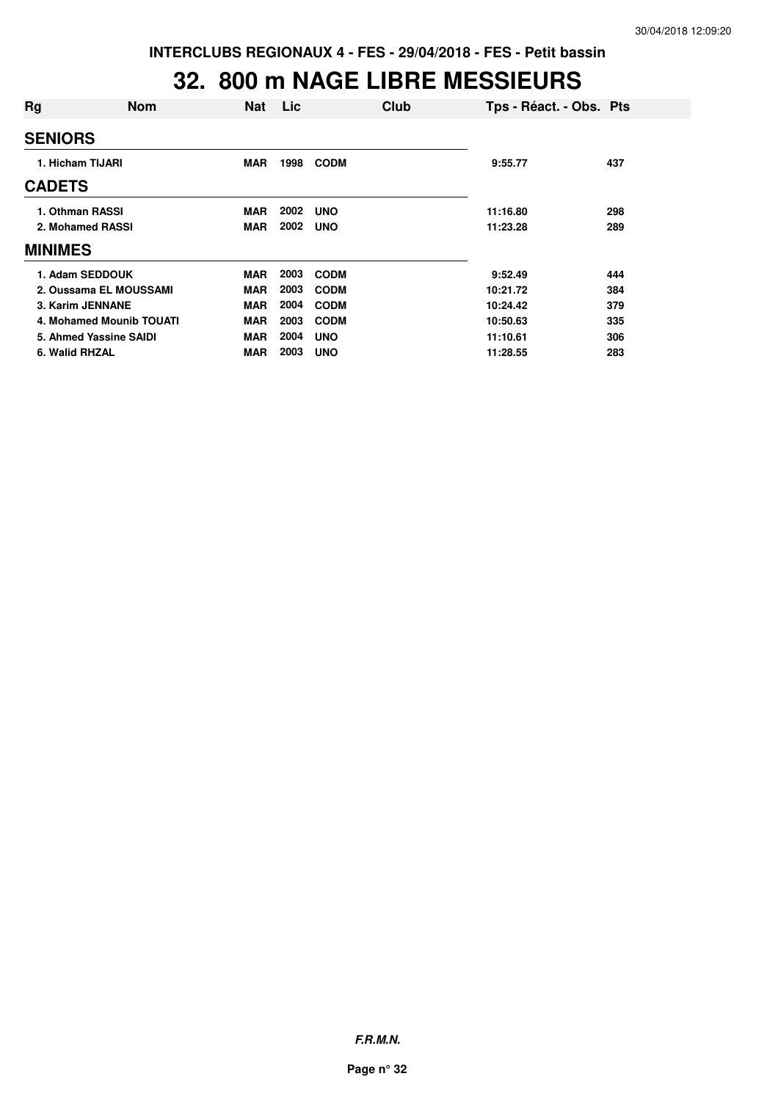#### **32. 800 m NAGE LIBRE MESSIEURS**

| Rg                       | <b>Nom</b>             | <b>Nat</b> | <b>Lic</b> | Club        | Tps - Réact. - Obs. Pts |     |
|--------------------------|------------------------|------------|------------|-------------|-------------------------|-----|
| <b>SENIORS</b>           |                        |            |            |             |                         |     |
| 1. Hicham TIJARI         |                        | <b>MAR</b> | 1998       | <b>CODM</b> | 9:55.77                 | 437 |
| <b>CADETS</b>            |                        |            |            |             |                         |     |
| 1. Othman RASSI          |                        | <b>MAR</b> | 2002       | <b>UNO</b>  | 11:16.80                | 298 |
| 2. Mohamed RASSI         |                        | <b>MAR</b> | 2002       | <b>UNO</b>  | 11:23.28                | 289 |
| <b>MINIMES</b>           |                        |            |            |             |                         |     |
| 1. Adam SEDDOUK          |                        | <b>MAR</b> | 2003       | <b>CODM</b> | 9:52.49                 | 444 |
|                          | 2. Oussama EL MOUSSAMI | <b>MAR</b> | 2003       | <b>CODM</b> | 10:21.72                | 384 |
| 3. Karim JENNANE         |                        | <b>MAR</b> | 2004       | <b>CODM</b> | 10:24.42                | 379 |
| 4. Mohamed Mounib TOUATI |                        | <b>MAR</b> | 2003       | <b>CODM</b> | 10:50.63                | 335 |
| 5. Ahmed Yassine SAIDI   |                        | <b>MAR</b> | 2004       | <b>UNO</b>  | 11:10.61                | 306 |
| 6. Walid RHZAL           |                        | <b>MAR</b> | 2003       | <b>UNO</b>  | 11:28.55                | 283 |